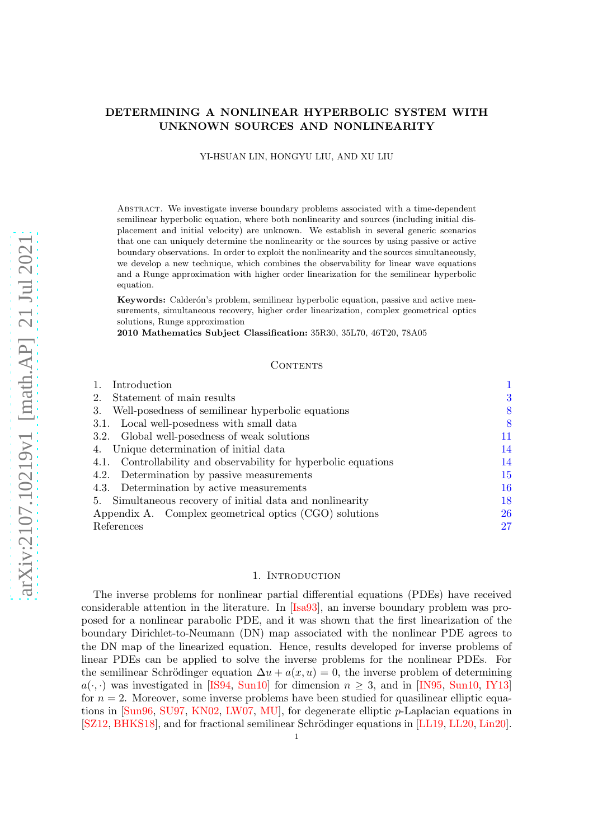# DETERMINING A NONLINEAR HYPERBOLIC SYSTEM WITH UNKNOWN SOURCES AND NONLINEARITY

YI-HSUAN LIN, HONGYU LIU, AND XU LIU

Abstract. We investigate inverse boundary problems associated with a time-dependent semilinear hyperbolic equation, where both nonlinearity and sources (including initial displacement and initial velocity) are unknown. We establish in several generic scenarios that one can uniquely determine the nonlinearity or the sources by using passive or active boundary observations. In order to exploit the nonlinearity and the sources simultaneously, we develop a new technique, which combines the observability for linear wave equations and a Runge approximation with higher order linearization for the semilinear hyperbolic equation.

Keywords: Calderón's problem, semilinear hyperbolic equation, passive and active measurements, simultaneous recovery, higher order linearization, complex geometrical optics solutions, Runge approximation

2010 Mathematics Subject Classification: 35R30, 35L70, 46T20, 78A05

### CONTENTS

| Introduction                                                    |    |
|-----------------------------------------------------------------|----|
| Statement of main results                                       | 3  |
| Well-posedness of semilinear hyperbolic equations<br>3.         | 8  |
| 3.1. Local well-posedness with small data                       | 8  |
| 3.2. Global well-posedness of weak solutions                    | 11 |
| 4. Unique determination of initial data                         | 14 |
| 4.1. Controllability and observability for hyperbolic equations | 14 |
| 4.2. Determination by passive measurements                      | 15 |
| 4.3. Determination by active measurements                       | 16 |
| 5. Simultaneous recovery of initial data and nonlinearity       | 18 |
| Appendix A. Complex geometrical optics (CGO) solutions          | 26 |
| References                                                      | 27 |

### 1. INTRODUCTION

<span id="page-0-0"></span>The inverse problems for nonlinear partial differential equations (PDEs) have received considerable attention in the literature. In [\[Isa93\]](#page-26-1), an inverse boundary problem was proposed for a nonlinear parabolic PDE, and it was shown that the first linearization of the boundary Dirichlet-to-Neumann (DN) map associated with the nonlinear PDE agrees to the DN map of the linearized equation. Hence, results developed for inverse problems of linear PDEs can be applied to solve the inverse problems for the nonlinear PDEs. For the semilinear Schrödinger equation  $\Delta u + a(x, u) = 0$ , the inverse problem of determining  $a(\cdot, \cdot)$  was investigated in [\[IS94,](#page-26-2) [Sun10\]](#page-28-0) for dimension  $n \geq 3$ , and in [\[IN95,](#page-26-3) [Sun10,](#page-28-0) [IY13\]](#page-26-4) for  $n = 2$ . Moreover, some inverse problems have been studied for quasilinear elliptic equations in [\[Sun96,](#page-27-0) [SU97,](#page-27-1) [KN02,](#page-26-5) [LW07,](#page-27-2) [MU\]](#page-27-3), for degenerate elliptic p-Laplacian equations in [\[SZ12,](#page-28-1) [BHKS18\]](#page-26-6), and for fractional semilinear Schrödinger equations in [\[LL19,](#page-27-4) [LL20,](#page-27-5) [Lin20\]](#page-27-6).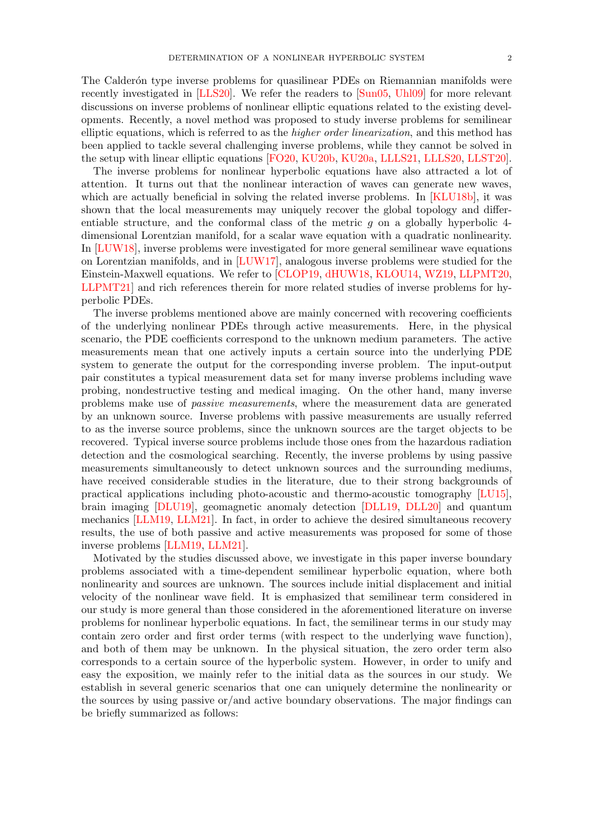The Calderón type inverse problems for quasilinear PDEs on Riemannian manifolds were recently investigated in [\[LLS20\]](#page-27-7). We refer the readers to [\[Sun05,](#page-27-8) [Uhl09\]](#page-28-2) for more relevant discussions on inverse problems of nonlinear elliptic equations related to the existing developments. Recently, a novel method was proposed to study inverse problems for semilinear elliptic equations, which is referred to as the higher order linearization, and this method has been applied to tackle several challenging inverse problems, while they cannot be solved in the setup with linear elliptic equations [\[FO20,](#page-26-7) [KU20b,](#page-27-9) [KU20a,](#page-27-10) [LLLS21,](#page-27-11) [LLLS20,](#page-27-12) [LLST20\]](#page-27-13).

The inverse problems for nonlinear hyperbolic equations have also attracted a lot of attention. It turns out that the nonlinear interaction of waves can generate new waves, which are actually beneficial in solving the related inverse problems. In [\[KLU18b\]](#page-26-8), it was shown that the local measurements may uniquely recover the global topology and differentiable structure, and the conformal class of the metric  $q$  on a globally hyperbolic 4dimensional Lorentzian manifold, for a scalar wave equation with a quadratic nonlinearity. In [\[LUW18\]](#page-27-14), inverse problems were investigated for more general semilinear wave equations on Lorentzian manifolds, and in [\[LUW17\]](#page-27-15), analogous inverse problems were studied for the Einstein-Maxwell equations. We refer to [\[CLOP19,](#page-26-9) [dHUW18,](#page-26-10) [KLOU14,](#page-26-11) [WZ19,](#page-28-3) [LLPMT20,](#page-27-16) [LLPMT21\]](#page-27-17) and rich references therein for more related studies of inverse problems for hyperbolic PDEs.

The inverse problems mentioned above are mainly concerned with recovering coefficients of the underlying nonlinear PDEs through active measurements. Here, in the physical scenario, the PDE coefficients correspond to the unknown medium parameters. The active measurements mean that one actively inputs a certain source into the underlying PDE system to generate the output for the corresponding inverse problem. The input-output pair constitutes a typical measurement data set for many inverse problems including wave probing, nondestructive testing and medical imaging. On the other hand, many inverse problems make use of passive measurements, where the measurement data are generated by an unknown source. Inverse problems with passive measurements are usually referred to as the inverse source problems, since the unknown sources are the target objects to be recovered. Typical inverse source problems include those ones from the hazardous radiation detection and the cosmological searching. Recently, the inverse problems by using passive measurements simultaneously to detect unknown sources and the surrounding mediums, have received considerable studies in the literature, due to their strong backgrounds of practical applications including photo-acoustic and thermo-acoustic tomography [\[LU15\]](#page-27-18), brain imaging [\[DLU19\]](#page-26-12), geomagnetic anomaly detection [\[DLL19,](#page-26-13) [DLL20\]](#page-26-14) and quantum mechanics [\[LLM19,](#page-27-19) [LLM21\]](#page-27-20). In fact, in order to achieve the desired simultaneous recovery results, the use of both passive and active measurements was proposed for some of those inverse problems [\[LLM19,](#page-27-19) [LLM21\]](#page-27-20).

Motivated by the studies discussed above, we investigate in this paper inverse boundary problems associated with a time-dependent semilinear hyperbolic equation, where both nonlinearity and sources are unknown. The sources include initial displacement and initial velocity of the nonlinear wave field. It is emphasized that semilinear term considered in our study is more general than those considered in the aforementioned literature on inverse problems for nonlinear hyperbolic equations. In fact, the semilinear terms in our study may contain zero order and first order terms (with respect to the underlying wave function), and both of them may be unknown. In the physical situation, the zero order term also corresponds to a certain source of the hyperbolic system. However, in order to unify and easy the exposition, we mainly refer to the initial data as the sources in our study. We establish in several generic scenarios that one can uniquely determine the nonlinearity or the sources by using passive or/and active boundary observations. The major findings can be briefly summarized as follows: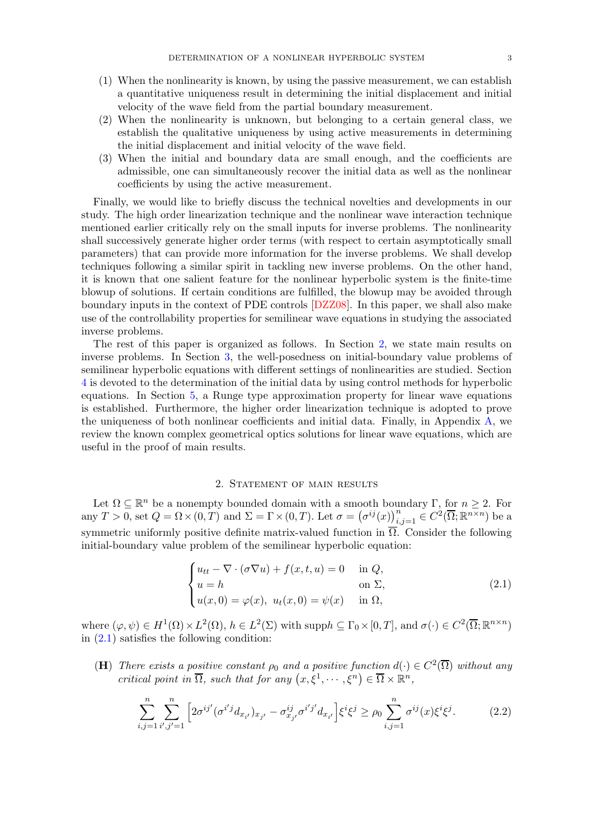- 
- (1) When the nonlinearity is known, by using the passive measurement, we can establish a quantitative uniqueness result in determining the initial displacement and initial velocity of the wave field from the partial boundary measurement.
- (2) When the nonlinearity is unknown, but belonging to a certain general class, we establish the qualitative uniqueness by using active measurements in determining the initial displacement and initial velocity of the wave field.
- (3) When the initial and boundary data are small enough, and the coefficients are admissible, one can simultaneously recover the initial data as well as the nonlinear coefficients by using the active measurement.

Finally, we would like to briefly discuss the technical novelties and developments in our study. The high order linearization technique and the nonlinear wave interaction technique mentioned earlier critically rely on the small inputs for inverse problems. The nonlinearity shall successively generate higher order terms (with respect to certain asymptotically small parameters) that can provide more information for the inverse problems. We shall develop techniques following a similar spirit in tackling new inverse problems. On the other hand, it is known that one salient feature for the nonlinear hyperbolic system is the finite-time blowup of solutions. If certain conditions are fulfilled, the blowup may be avoided through boundary inputs in the context of PDE controls [\[DZZ08\]](#page-26-15). In this paper, we shall also make use of the controllability properties for semilinear wave equations in studying the associated inverse problems.

The rest of this paper is organized as follows. In Section [2,](#page-2-0) we state main results on inverse problems. In Section [3,](#page-7-0) the well-posedness on initial-boundary value problems of semilinear hyperbolic equations with different settings of nonlinearities are studied. Section [4](#page-13-0) is devoted to the determination of the initial data by using control methods for hyperbolic equations. In Section [5,](#page-17-0) a Runge type approximation property for linear wave equations is established. Furthermore, the higher order linearization technique is adopted to prove the uniqueness of both nonlinear coefficients and initial data. Finally, in Appendix [A,](#page-25-0) we review the known complex geometrical optics solutions for linear wave equations, which are useful in the proof of main results.

## 2. Statement of main results

<span id="page-2-0"></span>Let  $\Omega \subseteq \mathbb{R}^n$  be a nonempty bounded domain with a smooth boundary  $\Gamma$ , for  $n \geq 2$ . For any  $T > 0$ , set  $Q = \Omega \times (0, T)$  and  $\Sigma = \Gamma \times (0, T)$ . Let  $\sigma = (\sigma^{ij}(x))_{i,j=1}^n \in C^2(\overline{\Omega}; \mathbb{R}^{n \times n})$  be a symmetric uniformly positive definite matrix-valued function in  $\overline{\Omega}$ . Consider the following initial-boundary value problem of the semilinear hyperbolic equation:

<span id="page-2-2"></span><span id="page-2-1"></span>
$$
\begin{cases}\n u_{tt} - \nabla \cdot (\sigma \nabla u) + f(x, t, u) = 0 & \text{in } Q, \\
 u = h & \text{on } \Sigma, \\
 u(x, 0) = \varphi(x), \ u_t(x, 0) = \psi(x) & \text{in } \Omega,\n\end{cases}
$$
\n(2.1)

where  $(\varphi, \psi) \in H^1(\Omega) \times L^2(\Omega)$ ,  $h \in L^2(\Sigma)$  with supp $h \subseteq \Gamma_0 \times [0, T]$ , and  $\sigma(\cdot) \in C^2(\overline{\Omega}; \mathbb{R}^{n \times n})$ in [\(2.1\)](#page-2-1) satisfies the following condition:

(H) There exists a positive constant  $\rho_0$  and a positive function  $d(\cdot) \in C^2(\overline{\Omega})$  without any critical point in  $\overline{\Omega}$ , such that for any  $(x,\xi^1,\dots,\xi^n) \in \overline{\Omega} \times \mathbb{R}^n$ ,

$$
\sum_{i,j=1}^{n} \sum_{i',j'=1}^{n} \left[ 2\sigma^{ij'} (\sigma^{i'j} d_{x_{i'}})_{x_{j'}} - \sigma^{ij}_{x_{j'}} \sigma^{i'j'} d_{x_{i'}} \right] \xi^i \xi^j \ge \rho_0 \sum_{i,j=1}^{n} \sigma^{ij}(x) \xi^i \xi^j.
$$
 (2.2)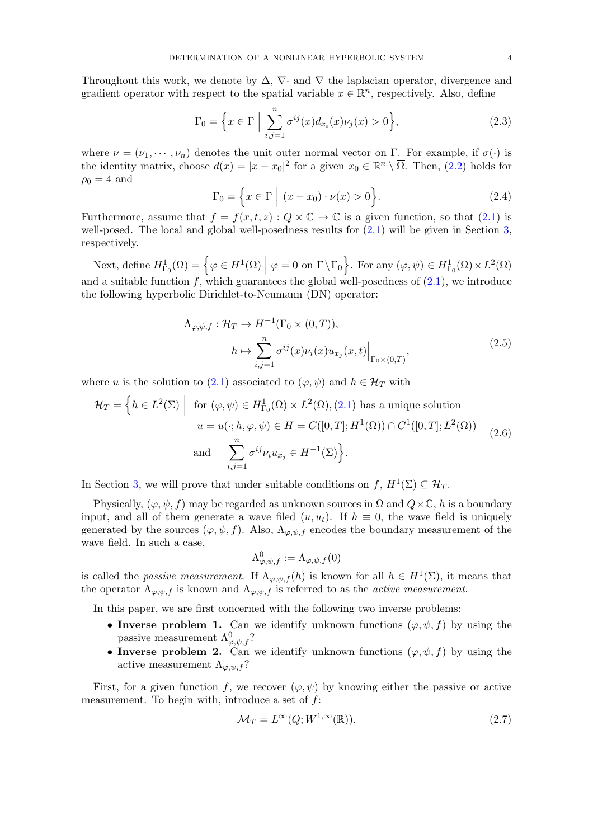Throughout this work, we denote by  $\Delta$ ,  $\nabla$ · and  $\nabla$  the laplacian operator, divergence and gradient operator with respect to the spatial variable  $x \in \mathbb{R}^n$ , respectively. Also, define

<span id="page-3-1"></span>
$$
\Gamma_0 = \left\{ x \in \Gamma \; \Big| \; \sum_{i,j=1}^n \sigma^{ij}(x) d_{x_i}(x) \nu_j(x) > 0 \right\},\tag{2.3}
$$

where  $\nu = (\nu_1, \dots, \nu_n)$  denotes the unit outer normal vector on Γ. For example, if  $\sigma(\cdot)$  is the identity matrix, choose  $d(x) = |x - x_0|^2$  for a given  $x_0 \in \mathbb{R}^n \setminus \overline{\Omega}$ . Then, [\(2.2\)](#page-2-2) holds for  $\rho_0 = 4$  and

<span id="page-3-2"></span>
$$
\Gamma_0 = \left\{ x \in \Gamma \mid (x - x_0) \cdot \nu(x) > 0 \right\}.
$$
\n(2.4)

Furthermore, assume that  $f = f(x, t, z) : Q \times \mathbb{C} \to \mathbb{C}$  is a given function, so that  $(2.1)$  is well-posed. The local and global well-posedness results for  $(2.1)$  will be given in Section [3,](#page-7-0) respectively.

Next, define  $H^1_{\Gamma_0}(\Omega) = \left\{ \varphi \in H^1(\Omega) \middle| \varphi = 0 \text{ on } \Gamma \backslash \Gamma_0 \right\}$ . For any  $(\varphi, \psi) \in H^1_{\Gamma_0}(\Omega) \times L^2(\Omega)$ and a suitable function f, which guarantees the global well-posedness of  $(2.1)$ , we introduce the following hyperbolic Dirichlet-to-Neumann (DN) operator:

$$
\Lambda_{\varphi,\psi,f} : \mathcal{H}_T \to H^{-1}(\Gamma_0 \times (0,T)),
$$
\n
$$
h \mapsto \sum_{i,j=1}^n \sigma^{ij}(x) \nu_i(x) u_{x_j}(x,t) \Big|_{\Gamma_0 \times (0,T)},
$$
\n(2.5)

where u is the solution to [\(2.1\)](#page-2-1) associated to  $(\varphi, \psi)$  and  $h \in \mathcal{H}_T$  with

$$
\mathcal{H}_T = \left\{ h \in L^2(\Sigma) \middle| \text{ for } (\varphi, \psi) \in H^1_{\Gamma_0}(\Omega) \times L^2(\Omega), (2.1) \text{ has a unique solution} \right\}
$$

$$
u = u(\cdot; h, \varphi, \psi) \in H = C([0, T]; H^1(\Omega)) \cap C^1([0, T]; L^2(\Omega))
$$

$$
\text{and} \sum_{i,j=1}^n \sigma^{ij} \nu_i u_{x_j} \in H^{-1}(\Sigma) \right\}.
$$
 (2.6)

In Section [3,](#page-7-0) we will prove that under suitable conditions on  $f, H^1(\Sigma) \subseteq \mathcal{H}_T$ .

Physically,  $(\varphi, \psi, f)$  may be regarded as unknown sources in  $\Omega$  and  $Q \times \mathbb{C}$ , h is a boundary input, and all of them generate a wave filed  $(u, u_t)$ . If  $h \equiv 0$ , the wave field is uniquely generated by the sources  $(\varphi, \psi, f)$ . Also,  $\Lambda_{\varphi, \psi, f}$  encodes the boundary measurement of the wave field. In such a case,

$$
\Lambda_{\varphi,\psi,f}^0 := \Lambda_{\varphi,\psi,f}(0)
$$

is called the *passive measurement*. If  $\Lambda_{\varphi,\psi,f}(h)$  is known for all  $h \in H^1(\Sigma)$ , it means that the operator  $\Lambda_{\varphi,\psi,f}$  is known and  $\Lambda_{\varphi,\psi,f}$  is referred to as the *active measurement*.

In this paper, we are first concerned with the following two inverse problems:

- Inverse problem 1. Can we identify unknown functions  $(\varphi, \psi, f)$  by using the passive measurement  $\Lambda^0_{\varphi,\psi,f}$ ?
- Inverse problem 2. Can we identify unknown functions  $(\varphi, \psi, f)$  by using the active measurement  $\Lambda_{\varphi,\psi,f}$ ?

First, for a given function f, we recover  $(\varphi, \psi)$  by knowing either the passive or active measurement. To begin with, introduce a set of  $f$ :

<span id="page-3-0"></span>
$$
\mathcal{M}_T = L^{\infty}(Q; W^{1,\infty}(\mathbb{R})).
$$
\n(2.7)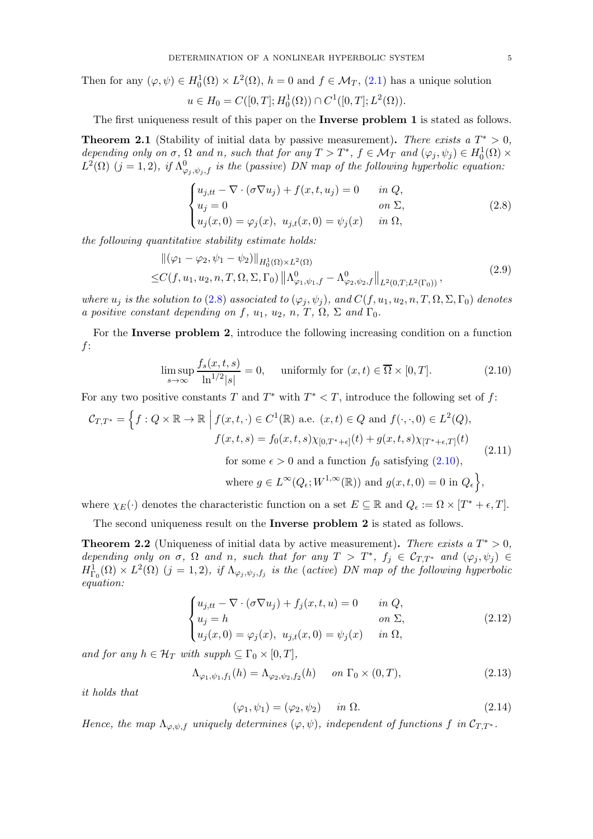Then for any  $(\varphi, \psi) \in H_0^1(\Omega) \times L^2(\Omega)$ ,  $h = 0$  and  $f \in \mathcal{M}_T$ ,  $(2.1)$  has a unique solution

$$
u \in H_0 = C([0, T]; H_0^1(\Omega)) \cap C^1([0, T]; L^2(\Omega)).
$$

The first uniqueness result of this paper on the Inverse problem 1 is stated as follows.

<span id="page-4-2"></span>**Theorem 2.1** (Stability of initial data by passive measurement). There exists a  $T^* > 0$ , depending only on  $\sigma$ ,  $\Omega$  and n, such that for any  $T > T^*$ ,  $f \in \mathcal{M}_T$  and  $(\varphi_j, \psi_j) \in H_0^1(\Omega) \times$  $L^2(\Omega)$   $(j = 1, 2)$ , if  $\Lambda^0_{\varphi_j, \psi_j, f}$  is the (passive) DN map of the following hyperbolic equation:

<span id="page-4-0"></span>
$$
\begin{cases}\nu_{j,tt} - \nabla \cdot (\sigma \nabla u_j) + f(x, t, u_j) = 0 & \text{in } Q, \\
u_j = 0 & \text{on } \Sigma, \\
u_j(x, 0) = \varphi_j(x), \ u_{j,t}(x, 0) = \psi_j(x) & \text{in } \Omega,\n\end{cases}
$$
\n(2.8)

the following quantitative stability estimate holds:

$$
\begin{split} &\|(\varphi_1 - \varphi_2, \psi_1 - \psi_2)\|_{H_0^1(\Omega) \times L^2(\Omega)} \\ \leq & C(f, u_1, u_2, n, T, \Omega, \Sigma, \Gamma_0) \left\| \Lambda_{\varphi_1, \psi_1, f}^0 - \Lambda_{\varphi_2, \psi_2, f}^0 \right\|_{L^2(0, T; L^2(\Gamma_0))}, \end{split} \tag{2.9}
$$

where  $u_j$  is the solution to [\(2](#page-4-0).8) associated to  $(\varphi_j, \psi_j)$ , and  $C(f, u_1, u_2, n, T, \Omega, \Sigma, \Gamma_0)$  denotes a positive constant depending on f,  $u_1$ ,  $u_2$ ,  $n$ ,  $T$ ,  $\Omega$ ,  $\Sigma$  and  $\Gamma_0$ .

For the Inverse problem 2, introduce the following increasing condition on a function f:

$$
\limsup_{s \to \infty} \frac{f_s(x, t, s)}{\ln^{1/2} |s|} = 0, \quad \text{ uniformly for } (x, t) \in \overline{\Omega} \times [0, T]. \tag{2.10}
$$

For any two positive constants T and  $T^*$  with  $T^* < T$ , introduce the following set of f:

<span id="page-4-4"></span>
$$
\mathcal{C}_{T,T^*} = \left\{ f : Q \times \mathbb{R} \to \mathbb{R} \middle| f(x, t, \cdot) \in C^1(\mathbb{R}) \text{ a.e. } (x, t) \in Q \text{ and } f(\cdot, \cdot, 0) \in L^2(Q), \text{ for } f(x, t, s) = f_0(x, t, s) \chi_{[0,T^*+\epsilon]}(t) + g(x, t, s) \chi_{[T^*+\epsilon,T]}(t) \right\}
$$
\n
$$
\text{for some } \epsilon > 0 \text{ and a function } f_0 \text{ satisfying (2.10)}, \tag{2.11}
$$

<span id="page-4-1"></span>where 
$$
g \in L^{\infty}(Q_{\epsilon}; W^{1,\infty}(\mathbb{R}))
$$
 and  $g(x,t,0) = 0$  in  $Q_{\epsilon}$ ,

where  $\chi_E(\cdot)$  denotes the characteristic function on a set  $E \subseteq \mathbb{R}$  and  $Q_{\epsilon} := \Omega \times [T^* + \epsilon, T]$ .

The second uniqueness result on the Inverse problem 2 is stated as follows.

<span id="page-4-3"></span>**Theorem 2.2** (Uniqueness of initial data by active measurement). There exists a  $T^* > 0$ , depending only on  $\sigma$ ,  $\Omega$  and  $n$ , such that for any  $T > T^*$ ,  $f_j \in \mathcal{C}_{T,T^*}$  and  $(\varphi_j, \psi_j) \in$  $H^1_{\Gamma_0}(\Omega) \times L^2(\Omega)$  (j = 1,2), if  $\Lambda_{\varphi_j,\psi_j,f_j}$  is the (active) DN map of the following hyperbolic equation:

$$
\begin{cases}\n u_{j,tt} - \nabla \cdot (\sigma \nabla u_j) + f_j(x, t, u) = 0 & \text{in } Q, \\
 u_j = h & \text{on } \Sigma, \\
 u_j(x, 0) = \varphi_j(x), \ u_{j,t}(x, 0) = \psi_j(x) & \text{in } \Omega,\n\end{cases}
$$
\n(2.12)

and for any  $h \in \mathcal{H}_T$  with supph  $\subseteq \Gamma_0 \times [0,T]$ ,

$$
\Lambda_{\varphi_1,\psi_1,f_1}(h) = \Lambda_{\varphi_2,\psi_2,f_2}(h) \quad on \ \Gamma_0 \times (0,T), \tag{2.13}
$$

it holds that

<span id="page-4-5"></span>
$$
(\varphi_1, \psi_1) = (\varphi_2, \psi_2) \quad in \Omega. \tag{2.14}
$$

Hence, the map  $\Lambda_{\varphi,\psi,f}$  uniquely determines  $(\varphi,\psi)$ , independent of functions f in  $\mathcal{C}_{T,T^*}$ .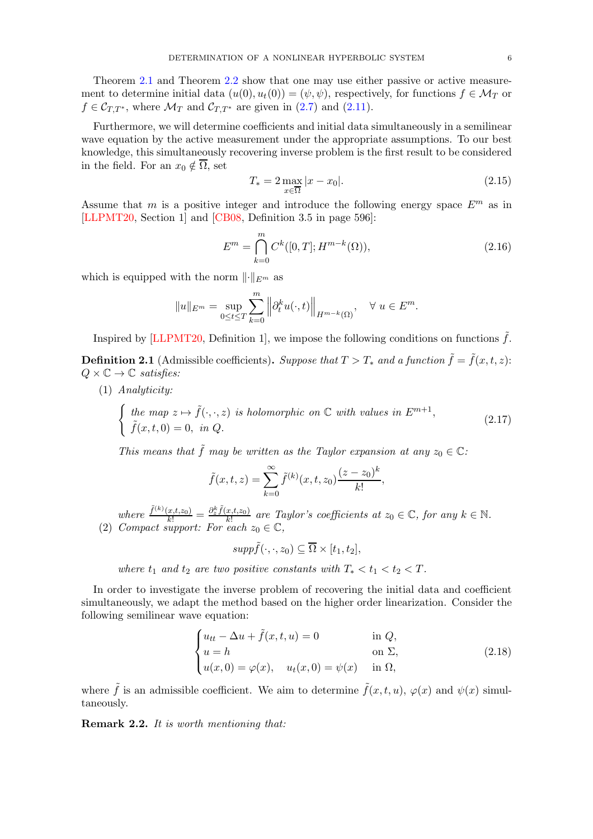Theorem [2.1](#page-4-2) and Theorem [2.2](#page-4-3) show that one may use either passive or active measurement to determine initial data  $(u(0), u_t(0)) = (\psi, \psi)$ , respectively, for functions  $f \in \mathcal{M}_T$  or  $f \in \mathcal{C}_{T,T^*}$ , where  $\mathcal{M}_T$  and  $\mathcal{C}_{T,T^*}$  are given in [\(2.7\)](#page-3-0) and [\(2.11\)](#page-4-4).

Furthermore, we will determine coefficients and initial data simultaneously in a semilinear wave equation by the active measurement under the appropriate assumptions. To our best knowledge, this simultaneously recovering inverse problem is the first result to be considered in the field. For an  $x_0 \notin \overline{\Omega}$ , set

<span id="page-5-2"></span>
$$
T_* = 2 \max_{x \in \overline{\Omega}} |x - x_0|.
$$
 (2.15)

Assume that m is a positive integer and introduce the following energy space  $E^m$  as in [\[LLPMT20,](#page-27-16) Section 1] and [\[CB08,](#page-26-16) Definition 3.5 in page 596]:

$$
E^{m} = \bigcap_{k=0}^{m} C^{k}([0, T]; H^{m-k}(\Omega)),
$$
\n(2.16)

which is equipped with the norm  $\lVert \cdot \rVert_{E^m}$  as

$$
||u||_{E^m} = \sup_{0 \le t \le T} \sum_{k=0}^m ||\partial_t^k u(\cdot, t)||_{H^{m-k}(\Omega)}, \quad \forall \ u \in E^m.
$$

Inspired by [\[LLPMT20,](#page-27-16) Definition 1], we impose the following conditions on functions  $\tilde{f}$ .

<span id="page-5-0"></span>**Definition 2.1** (Admissible coefficients). Suppose that  $T > T_*$  and a function  $\tilde{f} = \tilde{f}(x, t, z)$ :  $Q \times \mathbb{C} \to \mathbb{C}$  satisfies:

(1) Analyticity:

$$
\begin{cases}\n\text{the map } z \mapsto \tilde{f}(\cdot, \cdot, z) \text{ is holomorphic on } \mathbb{C} \text{ with values in } E^{m+1}, \\
\tilde{f}(x, t, 0) = 0, \text{ in } Q.\n\end{cases}
$$
\n(2.17)

This means that  $\tilde{f}$  may be written as the Taylor expansion at any  $z_0 \in \mathbb{C}$ :

<span id="page-5-3"></span>
$$
\tilde{f}(x,t,z) = \sum_{k=0}^{\infty} \tilde{f}^{(k)}(x,t,z_0) \frac{(z-z_0)^k}{k!},
$$

where  $\frac{\tilde{f}^{(k)}(x,t,z_0)}{k!} = \frac{\partial_z^k \tilde{f}(x,t,z_0)}{k!}$  $\frac{x,t,z_0}{k!}$  are Taylor's coefficients at  $z_0 \in \mathbb{C}$ , for any  $k \in \mathbb{N}$ . (2) Compact support: For each  $z_0 \in \mathbb{C}$ ,

<span id="page-5-1"></span> $supp \tilde{f}(\cdot,\cdot,z_0) \subseteq \overline{\Omega} \times [t_1,t_2],$ 

where  $t_1$  and  $t_2$  are two positive constants with  $T_* < t_1 < t_2 < T$ .

In order to investigate the inverse problem of recovering the initial data and coefficient simultaneously, we adapt the method based on the higher order linearization. Consider the following semilinear wave equation:

$$
\begin{cases}\n u_{tt} - \Delta u + \tilde{f}(x, t, u) = 0 & \text{in } Q, \\
 u = h & \text{on } \Sigma, \\
 u(x, 0) = \varphi(x), \quad u_t(x, 0) = \psi(x) & \text{in } \Omega,\n\end{cases}
$$
\n(2.18)

where  $\tilde{f}$  is an admissible coefficient. We aim to determine  $\tilde{f}(x, t, u)$ ,  $\varphi(x)$  and  $\psi(x)$  simultaneously.

Remark 2.2. It is worth mentioning that: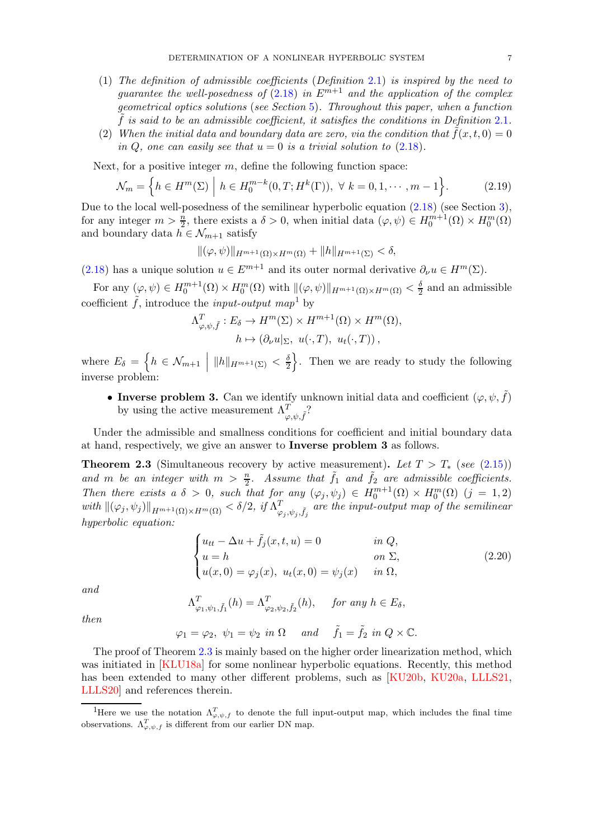- (1) The definition of admissible coefficients (Definition 2.[1\)](#page-5-0) is inspired by the need to quarantee the well-posedness of  $(2.18)$  $(2.18)$  in  $E^{m+1}$  and the application of the complex geometrical optics solutions (see Section [5\)](#page-17-0). Throughout this paper, when a function  $\tilde{f}$  is said to be an admissible coefficient, it satisfies the conditions in Definition [2](#page-5-0).1.
- (2) When the initial data and boundary data are zero, via the condition that  $f(x, t, 0) = 0$ in Q, one can easily see that  $u = 0$  is a trivial solution to  $(2.18)$ .

Next, for a positive integer  $m$ , define the following function space:

$$
\mathcal{N}_m = \left\{ h \in H^m(\Sigma) \; \middle| \; h \in H_0^{m-k}(0, T; H^k(\Gamma)), \; \forall \; k = 0, 1, \cdots, m-1 \right\}.
$$
 (2.19)

Due to the local well-posedness of the semilinear hyperbolic equation  $(2.18)$  (see Section [3\)](#page-7-0), for any integer  $m > \frac{n}{2}$ , there exists a  $\delta > 0$ , when initial data  $(\varphi, \psi) \in H_0^{m+1}(\Omega) \times H_0^m(\Omega)$ and boundary data  $h \in \mathcal{N}_{m+1}$  satisfy

$$
\|(\varphi,\psi)\|_{H^{m+1}(\Omega)\times H^m(\Omega)} + \|h\|_{H^{m+1}(\Sigma)} < \delta,
$$

[\(2.18\)](#page-5-1) has a unique solution  $u \in E^{m+1}$  and its outer normal derivative  $\partial_{\nu}u \in H^m(\Sigma)$ .

For any  $(\varphi, \psi) \in H_0^{m+1}(\Omega) \times H_0^m(\Omega)$  with  $\|(\varphi, \psi)\|_{H^{m+1}(\Omega) \times H^m(\Omega)} < \frac{\delta}{2}$  and an admissible coefficient  $\tilde{f}$ , introduce the *input-output* map<sup>[1](#page-6-0)</sup> by

$$
\Lambda^T_{\varphi,\psi,\tilde{f}}: E_{\delta} \to H^m(\Sigma) \times H^{m+1}(\Omega) \times H^m(\Omega),
$$
  

$$
h \mapsto (\partial_{\nu} u|_{\Sigma}, u(\cdot,T), u_t(\cdot,T)),
$$

where  $E_{\delta} = \left\{ h \in \mathcal{N}_{m+1} \mid ||h||_{H^{m+1}(\Sigma)} < \frac{\delta}{2} \right\}$ 2 o . Then we are ready to study the following inverse problem:

• Inverse problem 3. Can we identify unknown initial data and coefficient  $(\varphi, \psi, \tilde{f})$ by using the active measurement  $\Lambda_{\varphi,\psi,\tilde{f}}^T$ ?

Under the admissible and smallness conditions for coefficient and initial boundary data at hand, respectively, we give an answer to Inverse problem 3 as follows.

<span id="page-6-1"></span>**Theorem 2.3** (Simultaneous recovery by active measurement). Let  $T > T_*$  (see [\(2.15\)](#page-5-2)) and m be an integer with  $m > \frac{n}{2}$ . Assume that  $\tilde{f}_1$  and  $\tilde{f}_2$  are admissible coefficients. Then there exists a  $\delta > 0$ , such that for any  $(\varphi_j, \psi_j) \in H_0^{m+1}(\Omega) \times H_0^m(\Omega)$   $(j = 1, 2)$ with  $\|(\varphi_j, \psi_j)\|_{H^{m+1}(\Omega) \times H^m(\Omega)} < \delta/2$ , if  $\Lambda_{\varphi}^T$  $\mathcal{L}^T_{\varphi_j,\psi_j,\tilde f_j}$  are the input-output map of the semilinear hyperbolic equation:

$$
\begin{cases}\n u_{tt} - \Delta u + \tilde{f}_j(x, t, u) = 0 & \text{in } Q, \\
 u = h & \text{on } \Sigma, \\
 u(x, 0) = \varphi_j(x), \ u_t(x, 0) = \psi_j(x) & \text{in } \Omega,\n\end{cases}
$$
\n(2.20)

and

$$
\Lambda^T_{\varphi_1,\psi_1,\tilde{f}_1}(h) = \Lambda^T_{\varphi_2,\psi_2,\tilde{f}_2}(h), \quad \text{for any } h \in E_\delta,
$$

then

 $\varphi_1 = \varphi_2, \ \psi_1 = \psi_2 \ \text{in} \ \Omega \quad \text{and} \quad \tilde{f}_1 = \tilde{f}_2 \ \text{in} \ Q \times \mathbb{C}.$ 

The proof of Theorem [2.3](#page-6-1) is mainly based on the higher order linearization method, which was initiated in [\[KLU18a\]](#page-26-17) for some nonlinear hyperbolic equations. Recently, this method has been extended to many other different problems, such as [\[KU20b,](#page-27-9) [KU20a,](#page-27-10) [LLLS21,](#page-27-11) [LLLS20\]](#page-27-12) and references therein.

<span id="page-6-0"></span><sup>&</sup>lt;sup>1</sup>Here we use the notation  $\Lambda_{\varphi,\psi,f}^T$  to denote the full input-output map, which includes the final time observations.  $\Lambda_{\varphi,\psi,f}^T$  is different from our earlier DN map.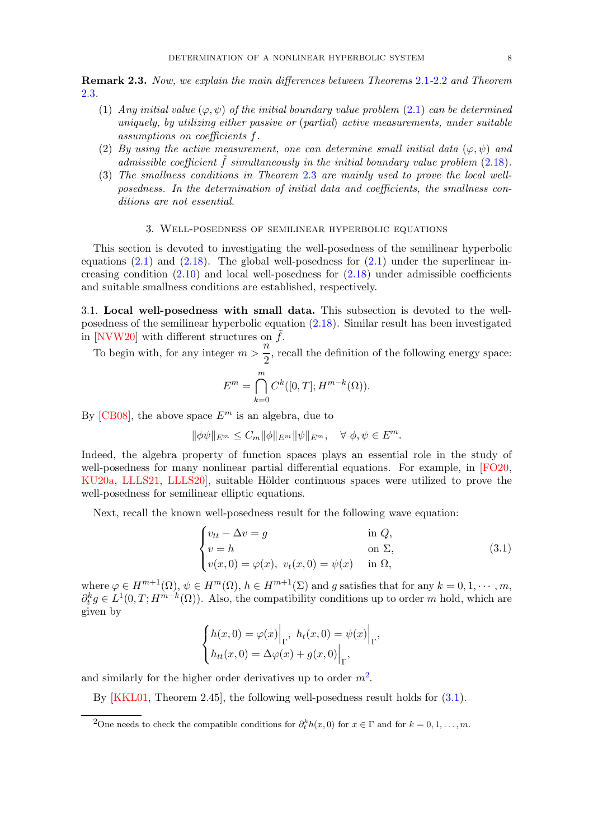Remark 2.3. Now, we explain the main differences between Theorems [2](#page-4-2).1-[2](#page-4-3).2 and Theorem [2](#page-6-1).3.

- (1) Any initial value  $(\varphi, \psi)$  of the initial boundary value problem [\(2.1\)](#page-2-1) can be determined uniquely, by utilizing either passive or (partial) active measurements, under suitable assumptions on coefficients f.
- (2) By using the active measurement, one can determine small initial data  $(\varphi, \psi)$  and admissible coefficient  $\hat{f}$  simultaneously in the initial boundary value problem (2.[18\)](#page-5-1).
- (3) The smallness conditions in Theorem [2](#page-6-1).3 are mainly used to prove the local wellposedness. In the determination of initial data and coefficients, the smallness conditions are not essential.

### 3. Well-posedness of semilinear hyperbolic equations

<span id="page-7-0"></span>This section is devoted to investigating the well-posedness of the semilinear hyperbolic equations  $(2.1)$  and  $(2.18)$ . The global well-posedness for  $(2.1)$  under the superlinear increasing condition  $(2.10)$  and local well-posedness for  $(2.18)$  under admissible coefficients and suitable smallness conditions are established, respectively.

<span id="page-7-1"></span>3.1. Local well-posedness with small data. This subsection is devoted to the wellposedness of the semilinear hyperbolic equation [\(2.18\)](#page-5-1). Similar result has been investigated in [\[NVW20\]](#page-27-21) with different structures on  $f$ .

To begin with, for any integer  $m > \frac{n}{2}$  $\frac{1}{2}$ , recall the definition of the following energy space:

$$
E^m = \bigcap_{k=0}^m C^k([0,T]; H^{m-k}(\Omega)).
$$

By [\[CB08\]](#page-26-16), the above space  $E^m$  is an algebra, due to

$$
\|\phi\psi\|_{E^m} \le C_m \|\phi\|_{E^m} \|\psi\|_{E^m}, \quad \forall \ \phi, \psi \in E^m.
$$

Indeed, the algebra property of function spaces plays an essential role in the study of well-posedness for many nonlinear partial differential equations. For example, in [\[FO20,](#page-26-7) [KU20a,](#page-27-10) [LLLS21,](#page-27-11) LLLS20, suitable Hölder continuous spaces were utilized to prove the well-posedness for semilinear elliptic equations.

Next, recall the known well-posedness result for the following wave equation:

<span id="page-7-3"></span>
$$
\begin{cases}\nv_{tt} - \Delta v = g & \text{in } Q, \\
v = h & \text{on } \Sigma, \\
v(x, 0) = \varphi(x), \ v_t(x, 0) = \psi(x) & \text{in } \Omega,\n\end{cases}
$$
\n(3.1)

where  $\varphi \in H^{m+1}(\Omega)$ ,  $\psi \in H^m(\Omega)$ ,  $h \in H^{m+1}(\Sigma)$  and g satisfies that for any  $k = 0, 1, \cdots, m$ ,  $\partial_t^k g \in L^1(0,T;H^{m-k}(\Omega))$ . Also, the compatibility conditions up to order m hold, which are given by

$$
\begin{cases} h(x,0) = \varphi(x) \Big|_{\Gamma}, h_t(x,0) = \psi(x) \Big|_{\Gamma}, \\ h_{tt}(x,0) = \Delta \varphi(x) + g(x,0) \Big|_{\Gamma}, \end{cases}
$$

and similarly for the higher order derivatives up to order  $m^2$  $m^2$ .

By [\[KKL01,](#page-26-18) Theorem 2.45], the following well-posedness result holds for [\(3.1\)](#page-7-3).

<span id="page-7-2"></span><sup>&</sup>lt;sup>2</sup>One needs to check the compatible conditions for  $\partial_t^k h(x,0)$  for  $x \in \Gamma$  and for  $k = 0, 1, \ldots, m$ .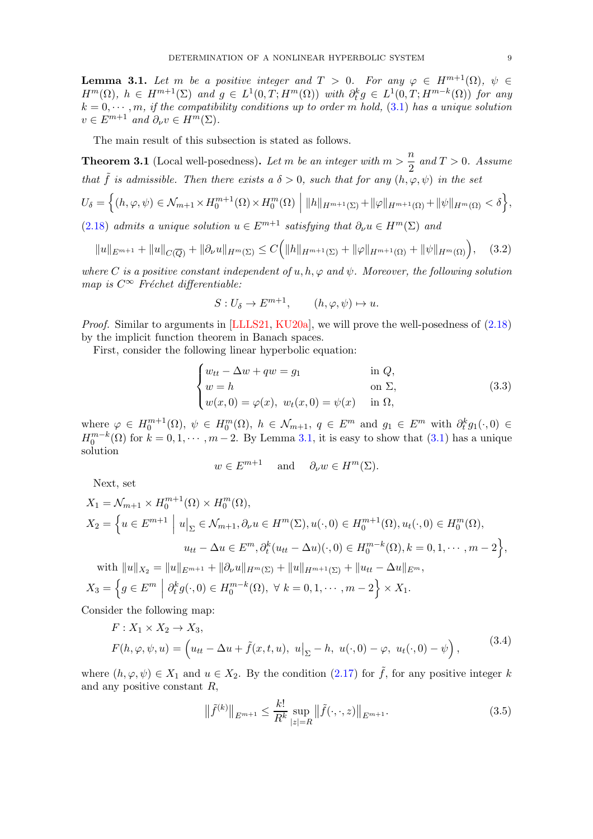<span id="page-8-0"></span>**Lemma 3.1.** Let m be a positive integer and  $T > 0$ . For any  $\varphi \in H^{m+1}(\Omega)$ ,  $\psi \in$  $H^m(\Omega)$ ,  $h \in H^{m+1}(\Sigma)$  and  $g \in L^1(0,T;H^m(\Omega))$  with  $\partial_t^k g \in L^1(0,T;H^{m-k}(\Omega))$  for any  $k = 0, \dots, m$ , if the compatibility conditions up to order m hold,  $(3.1)$  has a unique solution  $v \in E^{m+1}$  and  $\partial_{\nu} v \in H^m(\Sigma)$ .

The main result of this subsection is stated as follows.

<span id="page-8-2"></span>**Theorem 3.1** (Local well-posedness). Let m be an integer with  $m > \frac{n}{2}$  $\frac{n}{2}$  and  $T > 0$ . Assume that  $\tilde{f}$  is admissible. Then there exists a  $\delta > 0$ , such that for any  $(h, \varphi, \psi)$  in the set

$$
U_{\delta} = \left\{ (h, \varphi, \psi) \in \mathcal{N}_{m+1} \times H_0^{m+1}(\Omega) \times H_0^m(\Omega) \middle| \|h\|_{H^{m+1}(\Sigma)} + \|\varphi\|_{H^{m+1}(\Omega)} + \|\psi\|_{H^m(\Omega)} < \delta \right\},\
$$

[\(2.18\)](#page-5-1) admits a unique solution  $u \in E^{m+1}$  satisfying that  $\partial_{\nu} u \in H^m(\Sigma)$  and

<span id="page-8-1"></span>
$$
||u||_{E^{m+1}} + ||u||_{C(\overline{Q})} + ||\partial_{\nu}u||_{H^{m}(\Sigma)} \leq C\Big(||h||_{H^{m+1}(\Sigma)} + ||\varphi||_{H^{m+1}(\Omega)} + ||\psi||_{H^{m}(\Omega)}\Big), \quad (3.2)
$$

where C is a positive constant independent of u, h,  $\varphi$  and  $\psi$ . Moreover, the following solution map is  $C^{\infty}$  Fréchet differentiable:

$$
S: U_{\delta} \to E^{m+1}, \qquad (h, \varphi, \psi) \mapsto u.
$$

Proof. Similar to arguments in [\[LLLS21,](#page-27-11) [KU20a\]](#page-27-10), we will prove the well-posedness of [\(2.18\)](#page-5-1) by the implicit function theorem in Banach spaces.

First, consider the following linear hyperbolic equation:

$$
\begin{cases}\nw_{tt} - \Delta w + qw = g_1 & \text{in } Q, \\
w = h & \text{on } \Sigma, \\
w(x, 0) = \varphi(x), \ w_t(x, 0) = \psi(x) & \text{in } \Omega,\n\end{cases}
$$
\n(3.3)

where  $\varphi \in H_0^{m+1}(\Omega)$ ,  $\psi \in H_0^m(\Omega)$ ,  $h \in \mathcal{N}_{m+1}$ ,  $q \in E^m$  and  $g_1 \in E^m$  with  $\partial_t^k g_1(\cdot, 0) \in$  $H_0^{m-k}(\Omega)$  for  $k = 0, 1, \dots, m-2$ . By Lemma [3.1,](#page-8-0) it is easy to show that [\(3.1\)](#page-7-3) has a unique solution

$$
w \in E^{m+1}
$$
 and  $\partial_{\nu} w \in H^m(\Sigma)$ .

Next, set

$$
X_1 = \mathcal{N}_{m+1} \times H_0^{m+1}(\Omega) \times H_0^m(\Omega),
$$
  
\n
$$
X_2 = \left\{ u \in E^{m+1} \mid u|_{\Sigma} \in \mathcal{N}_{m+1}, \partial_{\nu} u \in H^m(\Sigma), u(\cdot, 0) \in H_0^{m+1}(\Omega), u_t(\cdot, 0) \in H_0^m(\Omega),
$$
  
\n
$$
u_{tt} - \Delta u \in E^m, \partial_t^k (u_{tt} - \Delta u)(\cdot, 0) \in H_0^{m-k}(\Omega), k = 0, 1, \cdots, m-2 \right\},
$$

with  $||u||_{X_2} = ||u||_{E^{m+1}} + ||\partial_{\nu}u||_{H^m(\Sigma)} + ||u||_{H^{m+1}(\Sigma)} + ||u_{tt} - \Delta u||_{E^m}$ ,  $X_3 = \left\{ g \in E^m \middle| \partial_t^k g(\cdot, 0) \in H_0^{m-k}(\Omega), \ \forall \ k = 0, 1, \cdots, m-2 \right\} \times X_1.$ 

Consider the following map:

$$
F: X_1 \times X_2 \to X_3,
$$
  
\n
$$
F(h, \varphi, \psi, u) = \left(u_{tt} - \Delta u + \tilde{f}(x, t, u), u\big|_{\Sigma} - h, u(\cdot, 0) - \varphi, u_t(\cdot, 0) - \psi\right),
$$
\n(3.4)

where  $(h, \varphi, \psi) \in X_1$  and  $u \in X_2$ . By the condition  $(2.17)$  for  $\tilde{f}$ , for any positive integer k and any positive constant R,

$$
\|\tilde{f}^{(k)}\|_{E^{m+1}} \le \frac{k!}{R^k} \sup_{|z|=R} \|\tilde{f}(\cdot,\cdot,z)\|_{E^{m+1}}.
$$
\n(3.5)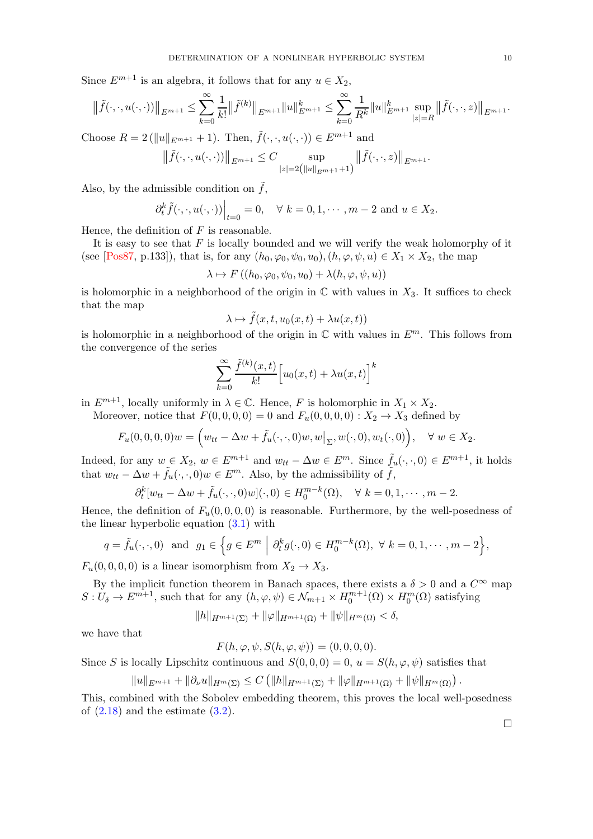Since  $E^{m+1}$  is an algebra, it follows that for any  $u \in X_2$ ,

$$
\|\tilde{f}(\cdot,\cdot,u(\cdot,\cdot))\|_{E^{m+1}} \leq \sum_{k=0}^{\infty} \frac{1}{k!} \|\tilde{f}^{(k)}\|_{E^{m+1}} \|u\|_{E^{m+1}}^k \leq \sum_{k=0}^{\infty} \frac{1}{R^k} \|u\|_{E^{m+1}}^k \sup_{|z|=R} \|\tilde{f}(\cdot,\cdot,z)\|_{E^{m+1}}.
$$
  
Choose  $R = 2 (\|u\|_{E^{m+1}} + 1)$ . Then,  $\tilde{f}(\cdot,\cdot,u(\cdot,\cdot)) \in E^{m+1}$  and

$$
\left\|\tilde{f}(\cdot,\cdot,u(\cdot,\cdot))\right\|_{E^{m+1}} \leq C \sup_{|z|=2\left(\|u\|_{E^{m+1}}+1\right)} \left\|\tilde{f}(\cdot,\cdot,z)\right\|_{E^{m+1}}.
$$

Also, by the admissible condition on  $\tilde{f}$ ,

$$
\partial_t^k \tilde{f}(\cdot, \cdot, u(\cdot, \cdot))\Big|_{t=0} = 0, \quad \forall \ k = 0, 1, \cdots, m-2 \text{ and } u \in X_2.
$$

Hence, the definition of  $F$  is reasonable.

It is easy to see that  $F$  is locally bounded and we will verify the weak holomorphy of it (see [\[Pos87,](#page-27-22) p.133]), that is, for any  $(h_0, \varphi_0, \psi_0, u_0), (h, \varphi, \psi, u) \in X_1 \times X_2$ , the map

$$
\lambda \mapsto F((h_0, \varphi_0, \psi_0, u_0) + \lambda(h, \varphi, \psi, u))
$$

is holomorphic in a neighborhood of the origin in  $\mathbb C$  with values in  $X_3$ . It suffices to check that the map

$$
\lambda \mapsto \tilde{f}(x, t, u_0(x, t) + \lambda u(x, t))
$$

is holomorphic in a neighborhood of the origin in  $\mathbb C$  with values in  $E^m$ . This follows from the convergence of the series

$$
\sum_{k=0}^{\infty} \frac{\tilde{f}^{(k)}(x,t)}{k!} \Big[ u_0(x,t) + \lambda u(x,t) \Big]^k
$$

in  $E^{m+1}$ , locally uniformly in  $\lambda \in \mathbb{C}$ . Hence, F is holomorphic in  $X_1 \times X_2$ .

Moreover, notice that  $F(0, 0, 0, 0) = 0$  and  $F_u(0, 0, 0, 0)$ :  $X_2 \to X_3$  defined by

$$
F_u(0,0,0,0)w = \Big(w_{tt} - \Delta w + \tilde{f}_u(\cdot,\cdot,0)w,w\big|_{\Sigma},w(\cdot,0),w_t(\cdot,0)\Big), \quad \forall \ w \in X_2.
$$

Indeed, for any  $w \in X_2$ ,  $w \in E^{m+1}$  and  $w_{tt} - \Delta w \in E^m$ . Since  $\tilde{f}_u(\cdot, \cdot, 0) \in E^{m+1}$ , it holds that  $w_{tt} - \Delta w + \tilde{f}_u(\cdot, \cdot, 0)w \in E^m$ . Also, by the admissibility of  $\tilde{f}$ ,

$$
\partial_t^k [w_{tt} - \Delta w + \tilde{f}_u(\cdot, \cdot, 0)w](\cdot, 0) \in H_0^{m-k}(\Omega), \quad \forall \ k = 0, 1, \cdots, m-2.
$$

Hence, the definition of  $F_u(0, 0, 0, 0)$  is reasonable. Furthermore, by the well-posedness of the linear hyperbolic equation  $(3.1)$  with

$$
q = \tilde{f}_u(\cdot, \cdot, 0)
$$
 and  $g_1 \in \left\{ g \in E^m \mid \partial_t^k g(\cdot, 0) \in H_0^{m-k}(\Omega), \ \forall \ k = 0, 1, \dots, m-2 \right\},\$ 

 $F_u(0, 0, 0, 0)$  is a linear isomorphism from  $X_2 \to X_3$ .

By the implicit function theorem in Banach spaces, there exists a  $\delta > 0$  and a  $C^{\infty}$  map  $S: U_{\delta} \to E^{m+1}$ , such that for any  $(h, \varphi, \psi) \in \mathcal{N}_{m+1} \times H_0^{m+1}(\Omega) \times H_0^m(\Omega)$  satisfying

$$
||h||_{H^{m+1}(\Sigma)} + ||\varphi||_{H^{m+1}(\Omega)} + ||\psi||_{H^m(\Omega)} < \delta,
$$

we have that

 $F(h, \varphi, \psi, S(h, \varphi, \psi)) = (0, 0, 0, 0).$ 

Since S is locally Lipschitz continuous and  $S(0,0,0) = 0$ ,  $u = S(h, \varphi, \psi)$  satisfies that

$$
||u||_{E^{m+1}} + ||\partial_{\nu}u||_{H^{m}(\Sigma)} \leq C (||h||_{H^{m+1}(\Sigma)} + ||\varphi||_{H^{m+1}(\Omega)} + ||\psi||_{H^{m}(\Omega)}).
$$

This, combined with the Sobolev embedding theorem, this proves the local well-posedness of  $(2.18)$  and the estimate  $(3.2)$ .

 $\Box$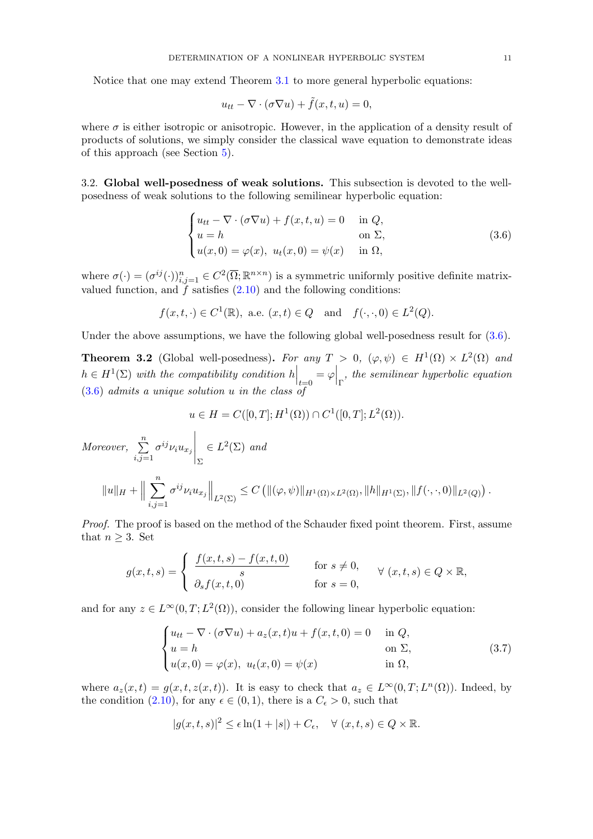Notice that one may extend Theorem [3.1](#page-8-2) to more general hyperbolic equations:

$$
u_{tt} - \nabla \cdot (\sigma \nabla u) + \tilde{f}(x, t, u) = 0,
$$

where  $\sigma$  is either isotropic or anisotropic. However, in the application of a density result of products of solutions, we simply consider the classical wave equation to demonstrate ideas of this approach (see Section [5\)](#page-17-0).

<span id="page-10-0"></span>3.2. Global well-posedness of weak solutions. This subsection is devoted to the wellposedness of weak solutions to the following semilinear hyperbolic equation:

<span id="page-10-1"></span>
$$
\begin{cases}\n u_{tt} - \nabla \cdot (\sigma \nabla u) + f(x, t, u) = 0 & \text{in } Q, \\
 u = h & \text{on } \Sigma, \\
 u(x, 0) = \varphi(x), \ u_t(x, 0) = \psi(x) & \text{in } \Omega,\n\end{cases}
$$
\n(3.6)

where  $\sigma(\cdot) = (\sigma^{ij}(\cdot))_{i,j=1}^n \in C^2(\overline{\Omega}; \mathbb{R}^{n \times n})$  is a symmetric uniformly positive definite matrixvalued function, and  $f$  satisfies  $(2.10)$  and the following conditions:

$$
f(x,t,\cdot) \in C^1(\mathbb{R})
$$
, a.e.  $(x,t) \in Q$  and  $f(\cdot,\cdot,0) \in L^2(Q)$ .

Under the above assumptions, we have the following global well-posedness result for  $(3.6)$ .

<span id="page-10-3"></span>**Theorem 3.2** (Global well-posedness). For any  $T > 0$ ,  $(\varphi, \psi) \in H^1(\Omega) \times L^2(\Omega)$  and  $h \in H^1(\Sigma)$  with the compatibility condition  $h\Big|_{t=0} = \varphi\Big|_{\Gamma}$ , the semilinear hyperbolic equation  $(3.6)$  $(3.6)$  admits a unique solution u in the class of

$$
u \in H = C([0, T]; H^1(\Omega)) \cap C^1([0, T]; L^2(\Omega)).
$$

Moreover, 
$$
\sum_{i,j=1}^{n} \sigma^{ij} \nu_i u_{x_j} \Big|_{\Sigma} \in L^2(\Sigma) \text{ and}
$$

$$
||u||_H + \Big\|\sum_{i,j=1}^{n} \sigma^{ij} \nu_i u_{x_j}\Big\|_{L^2(\Sigma)} \leq C \left( \|(\varphi, \psi)\|_{H^1(\Omega) \times L^2(\Omega)}, \|h\|_{H^1(\Sigma)}, \|f(\cdot, \cdot, 0)\|_{L^2(Q)} \right).
$$

Proof. The proof is based on the method of the Schauder fixed point theorem. First, assume that  $n \geq 3$ . Set

$$
g(x,t,s) = \begin{cases} \frac{f(x,t,s) - f(x,t,0)}{s} & \text{for } s \neq 0, \\ \partial_s f(x,t,0) & \text{for } s = 0, \end{cases} \forall (x,t,s) \in Q \times \mathbb{R},
$$

and for any  $z \in L^{\infty}(0,T; L^{2}(\Omega))$ , consider the following linear hyperbolic equation:

<span id="page-10-2"></span>
$$
\begin{cases}\n u_{tt} - \nabla \cdot (\sigma \nabla u) + a_z(x, t)u + f(x, t, 0) = 0 & \text{in } Q, \\
 u = h & \text{on } \Sigma, \\
 u(x, 0) = \varphi(x), \ u_t(x, 0) = \psi(x) & \text{in } \Omega,\n\end{cases}
$$
\n(3.7)

where  $a_z(x,t) = g(x,t,z(x,t))$ . It is easy to check that  $a_z \in L^{\infty}(0,T; L^n(\Omega))$ . Indeed, by the condition [\(2.10\)](#page-4-1), for any  $\epsilon \in (0,1)$ , there is a  $C_{\epsilon} > 0$ , such that

$$
|g(x,t,s)|^2 \leq \epsilon \ln(1+|s|) + C_{\epsilon}, \quad \forall (x,t,s) \in Q \times \mathbb{R}.
$$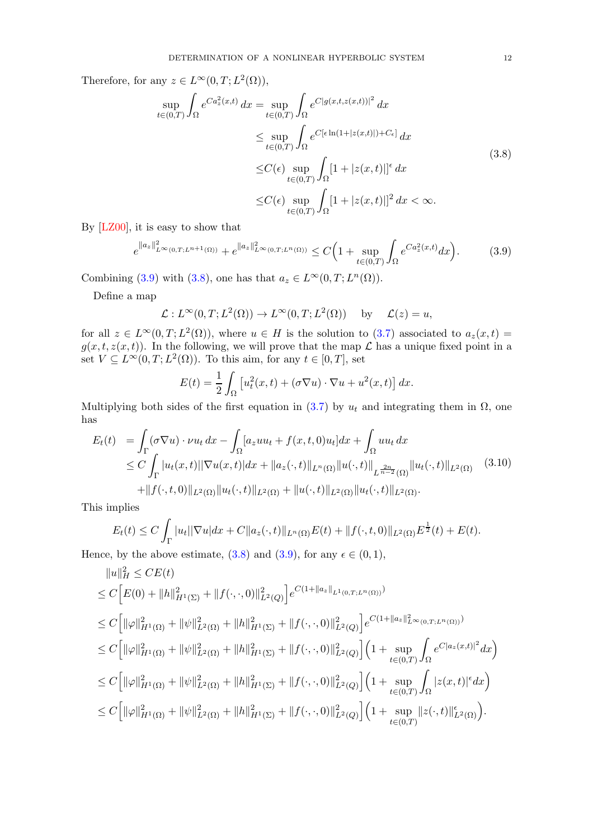Therefore, for any  $z \in L^{\infty}(0,T; L^{2}(\Omega)),$ 

<span id="page-11-1"></span>
$$
\sup_{t\in(0,T)} \int_{\Omega} e^{C a_z^2(x,t)} dx = \sup_{t\in(0,T)} \int_{\Omega} e^{C|g(x,t,z(x,t))|^2} dx
$$
  
\n
$$
\leq \sup_{t\in(0,T)} \int_{\Omega} e^{C[\epsilon \ln(1+|z(x,t)|)+C_{\epsilon}]} dx
$$
  
\n
$$
\leq C(\epsilon) \sup_{t\in(0,T)} \int_{\Omega} [1+|z(x,t)|]^{\epsilon} dx
$$
  
\n
$$
\leq C(\epsilon) \sup_{t\in(0,T)} \int_{\Omega} [1+|z(x,t)|]^2 dx < \infty.
$$
\n(3.8)

By [\[LZ00\]](#page-27-23), it is easy to show that

<span id="page-11-0"></span>
$$
e^{\|a_z\|_{L^{\infty}(0,T;L^{n+1}(\Omega))}^2} + e^{\|a_z\|_{L^{\infty}(0,T;L^{n}(\Omega))}^2} \le C\Big(1 + \sup_{t \in (0,T)} \int_{\Omega} e^{Ca_z^2(x,t)} dx\Big). \tag{3.9}
$$

Combining [\(3.9\)](#page-11-0) with [\(3.8\)](#page-11-1), one has that  $a_z \in L^{\infty}(0,T;L^n(\Omega))$ .

Define a map

 $\mathcal{L}: L^{\infty}(0,T;L^2(\Omega)) \to L^{\infty}(0,T;L^2(\Omega))$  by  $\mathcal{L}(z) = u$ ,

for all  $z \in L^{\infty}(0,T;L^2(\Omega))$ , where  $u \in H$  is the solution to  $(3.7)$  associated to  $a_z(x,t) =$  $g(x, t, z(x, t))$ . In the following, we will prove that the map  $\mathcal L$  has a unique fixed point in a set  $V \subseteq L^{\infty}(0,T; L^{2}(\Omega))$ . To this aim, for any  $t \in [0,T]$ , set

<span id="page-11-2"></span>
$$
E(t) = \frac{1}{2} \int_{\Omega} \left[ u_t^2(x, t) + (\sigma \nabla u) \cdot \nabla u + u^2(x, t) \right] dx.
$$

Multiplying both sides of the first equation in  $(3.7)$  by  $u_t$  and integrating them in  $\Omega$ , one has

$$
E_t(t) = \int_{\Gamma} (\sigma \nabla u) \cdot \nu u_t dx - \int_{\Omega} [a_z uu_t + f(x, t, 0) u_t] dx + \int_{\Omega} uu_t dx
$$
  
\n
$$
\leq C \int_{\Gamma} |u_t(x, t)| |\nabla u(x, t)| dx + ||a_z(\cdot, t)||_{L^n(\Omega)} ||u(\cdot, t)||_{L^{\frac{2n}{n-2}}(\Omega)} ||u_t(\cdot, t)||_{L^2(\Omega)} \quad (3.10)
$$
  
\n
$$
+ ||f(\cdot, t, 0)||_{L^2(\Omega)} ||u_t(\cdot, t)||_{L^2(\Omega)} + ||u(\cdot, t)||_{L^2(\Omega)} ||u_t(\cdot, t)||_{L^2(\Omega)}.
$$

This implies

$$
E_t(t) \le C \int_{\Gamma} |u_t||\nabla u| dx + C \|a_z(\cdot, t)\|_{L^n(\Omega)} E(t) + \|f(\cdot, t, 0)\|_{L^2(\Omega)} E^{\frac{1}{2}}(t) + E(t).
$$

Hence, by the above estimate,  $(3.8)$  and  $(3.9)$ , for any  $\epsilon \in (0,1)$ ,

$$
||u||_{H}^{2} \le CE(t)
$$
  
\n
$$
\le C\Big[E(0) + ||h||_{H^{1}(\Sigma)}^{2} + ||f(\cdot,\cdot,0)||_{L^{2}(Q)}^{2}\Big]e^{C(1+||a_{z}||_{L^{1}(0,T;L^{n}(\Omega))})}
$$
  
\n
$$
\le C\Big[\||\varphi||_{H^{1}(\Omega)}^{2} + ||\psi||_{L^{2}(\Omega)}^{2} + ||h||_{H^{1}(\Sigma)}^{2} + ||f(\cdot,\cdot,0)||_{L^{2}(Q)}^{2}\Big]e^{C(1+||a_{z}||_{L^{\infty}(0,T;L^{n}(\Omega))})}
$$
  
\n
$$
\le C\Big[\||\varphi||_{H^{1}(\Omega)}^{2} + ||\psi||_{L^{2}(\Omega)}^{2} + ||h||_{H^{1}(\Sigma)}^{2} + ||f(\cdot,\cdot,0)||_{L^{2}(Q)}^{2}\Big]\Big(1 + \sup_{t \in (0,T)} \int_{\Omega} e^{C|a_{z}(x,t)|^{2}}dx\Big)
$$
  
\n
$$
\le C\Big[\||\varphi||_{H^{1}(\Omega)}^{2} + ||\psi||_{L^{2}(\Omega)}^{2} + ||h||_{H^{1}(\Sigma)}^{2} + ||f(\cdot,\cdot,0)||_{L^{2}(Q)}^{2}\Big]\Big(1 + \sup_{t \in (0,T)} \int_{\Omega} |z(x,t)|^{2}dx\Big)
$$
  
\n
$$
\le C\Big[\||\varphi||_{H^{1}(\Omega)}^{2} + ||\psi||_{L^{2}(\Omega)}^{2} + ||h||_{H^{1}(\Sigma)}^{2} + ||f(\cdot,\cdot,0)||_{L^{2}(Q)}^{2}\Big]\Big(1 + \sup_{t \in (0,T)} ||z(\cdot,t)||_{L^{2}(\Omega)}^{2}\Big).
$$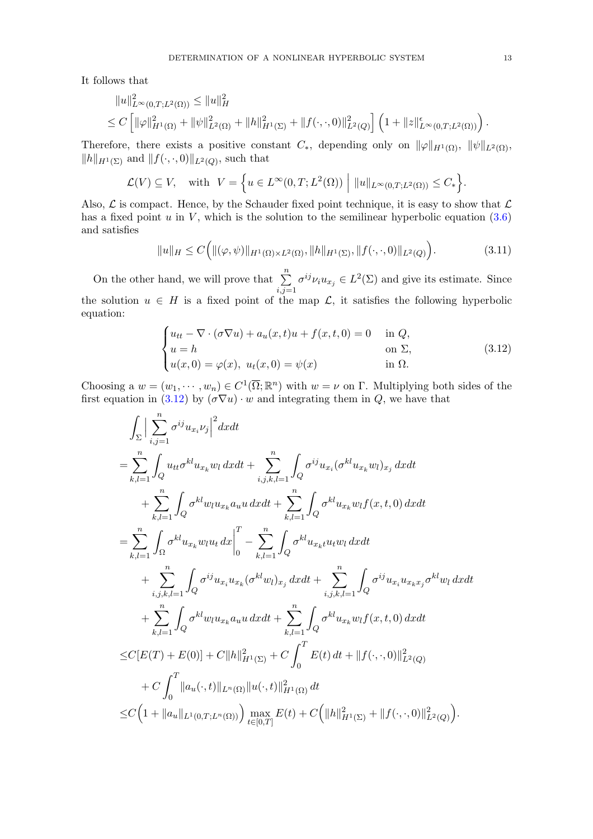It follows that

$$
||u||_{L^{\infty}(0,T;L^{2}(\Omega))}^{2} \leq ||u||_{H}^{2}
$$
  
\n
$$
\leq C \left[ ||\varphi||_{H^{1}(\Omega)}^{2} + ||\psi||_{L^{2}(\Omega)}^{2} + ||h||_{H^{1}(\Sigma)}^{2} + ||f(\cdot,\cdot,0)||_{L^{2}(Q)}^{2} \right] \left( 1 + ||z||_{L^{\infty}(0,T;L^{2}(\Omega))}^{ \epsilon} \right).
$$

Therefore, there exists a positive constant  $C_*$ , depending only on  $\|\varphi\|_{H^1(\Omega)}$ ,  $\|\psi\|_{L^2(\Omega)}$ ,  $||h||_{H^1(\Sigma)}$  and  $||f(\cdot, \cdot, 0)||_{L^2(Q)}$ , such that

$$
\mathcal{L}(V) \subseteq V, \quad \text{with} \quad V = \left\{ u \in L^{\infty}(0,T;L^{2}(\Omega)) \middle| \|u\|_{L^{\infty}(0,T;L^{2}(\Omega))} \leq C_{*} \right\}.
$$

Also,  $\mathcal L$  is compact. Hence, by the Schauder fixed point technique, it is easy to show that  $\mathcal L$ has a fixed point  $u$  in  $V$ , which is the solution to the semilinear hyperbolic equation [\(3.6\)](#page-10-1) and satisfies

<span id="page-12-1"></span>
$$
||u||_H \le C\Big(||(\varphi,\psi)||_{H^1(\Omega)\times L^2(\Omega)}, ||h||_{H^1(\Sigma)}, ||f(\cdot,\cdot,0)||_{L^2(Q)}\Big).
$$
\n(3.11)

On the other hand, we will prove that  $\sum_{n=1}^{\infty}$  $_{i,j=1}$  $\sigma^{ij}\nu_i u_{x_j} \in L^2(\Sigma)$  and give its estimate. Since the solution  $u \in H$  is a fixed point of the map  $\mathcal{L}$ , it satisfies the following hyperbolic equation:

<span id="page-12-0"></span>
$$
\begin{cases}\n u_{tt} - \nabla \cdot (\sigma \nabla u) + a_u(x, t)u + f(x, t, 0) = 0 & \text{in } Q, \\
 u = h & \text{on } \Sigma, \\
 u(x, 0) = \varphi(x), u_t(x, 0) = \psi(x) & \text{in } \Omega.\n\end{cases}
$$
\n(3.12)

Choosing a  $w = (w_1, \dots, w_n) \in C^1(\overline{\Omega}; \mathbb{R}^n)$  with  $w = \nu$  on  $\Gamma$ . Multiplying both sides of the first equation in [\(3.12\)](#page-12-0) by  $(\sigma \nabla u) \cdot w$  and integrating them in Q, we have that

$$
\int_{\Sigma} \Big| \sum_{i,j=1}^{n} \sigma^{ij} u_{x_i} \nu_j \Big|^2 dx dt \n= \sum_{k,l=1}^{n} \int_{Q} u_{tt} \sigma^{kl} u_{x_k} w_l dx dt + \sum_{i,j,k,l=1}^{n} \int_{Q} \sigma^{ij} u_{x_i} (\sigma^{kl} u_{x_k} w_l)_{x_j} dx dt \n+ \sum_{k,l=1}^{n} \int_{Q} \sigma^{kl} w_l u_{x_k} a_{u} u dx dt + \sum_{k,l=1}^{n} \int_{Q} \sigma^{kl} u_{x_k} w_l f(x, t, 0) dx dt \n= \sum_{k,l=1}^{n} \int_{\Omega} \sigma^{kl} u_{x_k} w_l u_t dx \Big|_{0}^{T} - \sum_{k,l=1}^{n} \int_{Q} \sigma^{kl} u_{x_k} u_{t} w_l dx dt \n+ \sum_{i,j,k,l=1}^{n} \int_{Q} \sigma^{ij} u_{x_i} u_{x_k} (\sigma^{kl} w_l)_{x_j} dx dt + \sum_{i,j,k,l=1}^{n} \int_{Q} \sigma^{ij} u_{x_i} u_{x_k} x_j \sigma^{kl} w_l dx dt \n+ \sum_{k,l=1}^{n} \int_{Q} \sigma^{kl} w_l u_{x_k} a_{u} u dx dt + \sum_{k,l=1}^{n} \int_{Q} \sigma^{kl} u_{x_k} w_l f(x, t, 0) dx dt \n\leq C[E(T) + E(0)] + C ||h||_{H^1(\Sigma)}^2 + C \int_{0}^{T} E(t) dt + ||f(\cdot, \cdot, 0)||_{L^2(Q)}^2 \n+ C \int_{0}^{T} ||a_u(\cdot, t)||_{L^n(\Omega)} ||u(\cdot, t)||_{H^1(\Omega)}^2 dt \n\leq C \Big( 1 + ||a_u||_{L^1(0, T; L^n(\Omega))} \Big) \max_{t \in [0, T]} E(t) + C \Big( ||h||_{H^1(\Sigma)}^2 + ||f(\cdot, \cdot, 0)||_{L^2(Q)}^2 \Big).
$$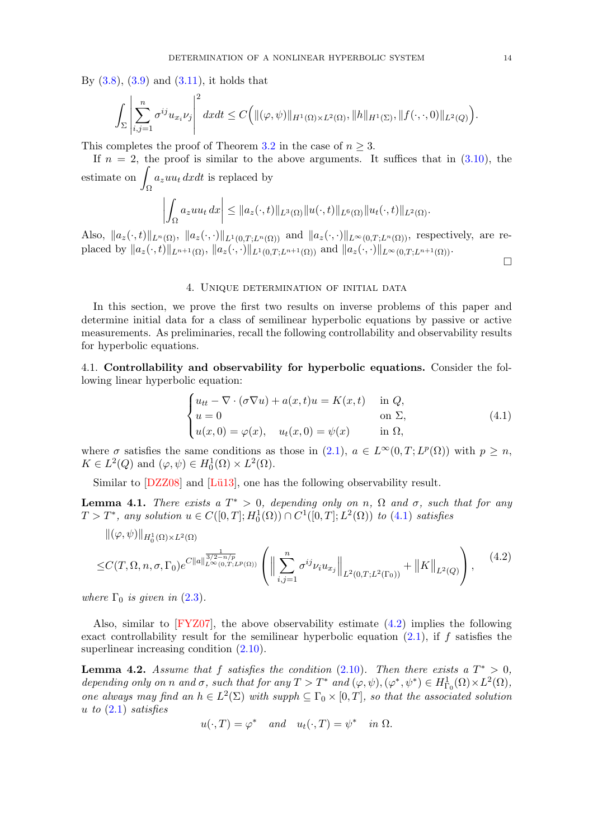By  $(3.8)$ ,  $(3.9)$  and  $(3.11)$ , it holds that

Ω

$$
\int_{\Sigma}\left|\sum_{i,j=1}^n\sigma^{ij}u_{x_i}\nu_j\right|^2dxdt\leq C\Big(\|(\varphi,\psi)\|_{H^1(\Omega)\times L^2(\Omega)},\|h\|_{H^1(\Sigma)},\|f(\cdot,\cdot,0)\|_{L^2(Q)}\Big).
$$

This completes the proof of Theorem [3.2](#page-10-3) in the case of  $n \geq 3$ .

If  $n = 2$ , the proof is similar to the above arguments. It suffices that in  $(3.10)$ , the  $estimate$  on  $a_zuu_t dxdt$  is replaced by

$$
\left|\int_{\Omega}a_{z}uu_{t} dx\right| \leq \|a_{z}(\cdot,t)\|_{L^{3}(\Omega)}\|u(\cdot,t)\|_{L^{6}(\Omega)}\|u_{t}(\cdot,t)\|_{L^{2}(\Omega)}.
$$

Also,  $||a_z(\cdot, t)||_{L^n(\Omega)}$ ,  $||a_z(\cdot, \cdot)||_{L^1(0,T;L^n(\Omega))}$  and  $||a_z(\cdot, \cdot)||_{L^\infty(0,T;L^n(\Omega))}$ , respectively, are replaced by  $||a_z(\cdot, t)||_{L^{n+1}(\Omega)}$ ,  $||a_z(\cdot, \cdot)||_{L^1(0,T;L^{n+1}(\Omega))}$  and  $||a_z(\cdot, \cdot)||_{L^{\infty}(0,T;L^{n+1}(\Omega))}$ .

<span id="page-13-3"></span><span id="page-13-2"></span> $\Box$ 

### 4. Unique determination of initial data

<span id="page-13-0"></span>In this section, we prove the first two results on inverse problems of this paper and determine initial data for a class of semilinear hyperbolic equations by passive or active measurements. As preliminaries, recall the following controllability and observability results for hyperbolic equations.

<span id="page-13-1"></span>4.1. Controllability and observability for hyperbolic equations. Consider the following linear hyperbolic equation:

$$
\begin{cases}\n u_{tt} - \nabla \cdot (\sigma \nabla u) + a(x, t)u = K(x, t) & \text{in } Q, \\
 u = 0 & \text{on } \Sigma, \\
 u(x, 0) = \varphi(x), \quad u_t(x, 0) = \psi(x) & \text{in } \Omega,\n\end{cases}
$$
\n(4.1)

where  $\sigma$  satisfies the same conditions as those in  $(2.1)$ ,  $a \in L^{\infty}(0,T; L^{p}(\Omega))$  with  $p \geq n$ ,  $K \in L^2(Q)$  and  $(\varphi, \psi) \in H_0^1(\Omega) \times L^2(\Omega)$ .

Similar to  $[DZZ08]$  and  $[Lü13]$ , one has the following observability result.

<span id="page-13-4"></span>**Lemma 4.1.** There exists a  $T^* > 0$ , depending only on n,  $\Omega$  and  $\sigma$ , such that for any  $T > T^*$ , any solution  $u \in C([0, T]; H_0^1(\Omega)) \cap C^1([0, T]; L^2(\Omega))$  to  $(4.1)$  $(4.1)$  satisfies

$$
\|(\varphi, \psi)\|_{H_0^1(\Omega) \times L^2(\Omega)} \leq C(T, \Omega, n, \sigma, \Gamma_0) e^{C \|a\|_{L^{\infty}(0,T;L^p(\Omega))}^{\frac{1}{3/2 - n/p}}} \left( \left\| \sum_{i,j=1}^n \sigma^{ij} \nu_i u_{x_j} \right\|_{L^2(0,T;L^2(\Gamma_0))} + \|K\|_{L^2(Q)} \right), \tag{4.2}
$$

where  $\Gamma_0$  is given in (2.[3\)](#page-3-1).

Also, similar to  $[FYZ07]$ , the above observability estimate  $(4.2)$  implies the following exact controllability result for the semilinear hyperbolic equation  $(2.1)$ , if f satisfies the superlinear increasing condition  $(2.10)$  $(2.10)$ .

<span id="page-13-5"></span>**Lemma 4.2.** Assume that f satisfies the condition  $(2.10)$  $(2.10)$ . Then there exists a  $T^* > 0$ , depending only on n and  $\sigma$ , such that for any  $T > T^*$  and  $(\varphi, \psi), (\varphi^*, \psi^*) \in H^1_{\Gamma_0}(\Omega) \times L^2(\Omega)$ , one always may find an  $h \in L^2(\Sigma)$  with supph  $\subseteq \Gamma_0 \times [0,T]$ , so that the associated solution u to  $(2.1)$  $(2.1)$  satisfies

$$
u(\cdot,T) = \varphi^*
$$
 and  $u_t(\cdot,T) = \psi^*$  in  $\Omega$ .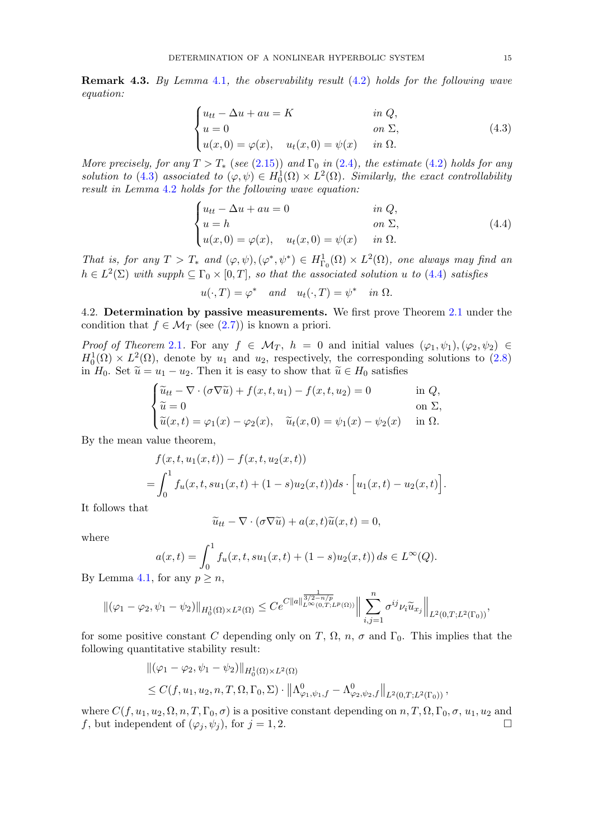<span id="page-14-3"></span>Remark 4.3. By Lemma [4](#page-13-4).1, the observability result (4.[2\)](#page-13-3) holds for the following wave equation:

<span id="page-14-1"></span>
$$
\begin{cases}\n u_{tt} - \Delta u + au = K & \text{in } Q, \\
 u = 0 & \text{on } \Sigma, \\
 u(x, 0) = \varphi(x), \quad u_t(x, 0) = \psi(x) & \text{in } \Omega.\n\end{cases}
$$
\n(4.3)

More precisely, for any  $T > T_*$  (see (2.[15\)](#page-5-2)) and  $\Gamma_0$  in (2.[4\)](#page-3-2), the estimate (4.[2\)](#page-13-3) holds for any solution to (4.[3\)](#page-14-1) associated to  $(\varphi, \psi) \in H_0^1(\Omega) \times L^2(\Omega)$ . Similarly, the exact controllability result in Lemma [4](#page-13-5).2 holds for the following wave equation:

<span id="page-14-2"></span>
$$
\begin{cases}\n u_{tt} - \Delta u + au = 0 & \text{in } Q, \\
 u = h & \text{on } \Sigma, \\
 u(x, 0) = \varphi(x), \quad u_t(x, 0) = \psi(x) & \text{in } \Omega.\n\end{cases}
$$
\n(4.4)

That is, for any  $T > T_*$  and  $(\varphi, \psi), (\varphi^*, \psi^*) \in H^1_{\Gamma_0}(\Omega) \times L^2(\Omega)$ , one always may find an  $h \in L^2(\Sigma)$  with supph  $\subseteq \Gamma_0 \times [0,T]$ , so that the associated solution u to [\(4](#page-14-2).4) satisfies

$$
u(\cdot,T) = \varphi^* \quad and \quad u_t(\cdot,T) = \psi^* \quad in \ \Omega.
$$

<span id="page-14-0"></span>4.2. Determination by passive measurements. We first prove Theorem [2.1](#page-4-2) under the condition that  $f \in \mathcal{M}_T$  (see [\(2.7\)](#page-3-0)) is known a priori.

Proof of Theorem [2](#page-4-2).1. For any  $f \in \mathcal{M}_T$ ,  $h = 0$  and initial values  $(\varphi_1, \psi_1), (\varphi_2, \psi_2) \in$  $H_0^1(\Omega) \times L^2(\Omega)$ , denote by  $u_1$  and  $u_2$ , respectively, the corresponding solutions to [\(2.8\)](#page-4-0) in  $H_0$ . Set  $\tilde{u} = u_1 - u_2$ . Then it is easy to show that  $\tilde{u} \in H_0$  satisfies

$$
\begin{cases} \widetilde{u}_{tt} - \nabla \cdot (\sigma \nabla \widetilde{u}) + f(x, t, u_1) - f(x, t, u_2) = 0 & \text{in } Q, \\ \widetilde{u} = 0 & \text{on } \Sigma, \\ \widetilde{u}(x, t) = \varphi_1(x) - \varphi_2(x), \quad \widetilde{u}_t(x, 0) = \psi_1(x) - \psi_2(x) & \text{in } \Omega. \end{cases}
$$

By the mean value theorem,

$$
f(x, t, u_1(x, t)) - f(x, t, u_2(x, t))
$$
  
=  $\int_0^1 f_u(x, t, su_1(x, t) + (1 - s)u_2(x, t)) ds \cdot [u_1(x, t) - u_2(x, t)].$ 

It follows that

$$
\widetilde{u}_{tt} - \nabla \cdot (\sigma \nabla \widetilde{u}) + a(x, t) \widetilde{u}(x, t) = 0,
$$

where

$$
a(x,t) = \int_0^1 f_u(x,t,su_1(x,t) + (1-s)u_2(x,t)) ds \in L^{\infty}(Q).
$$

By Lemma [4.1,](#page-13-4) for any  $p \geq n$ ,

$$
\|(\varphi_1 - \varphi_2, \psi_1 - \psi_2)\|_{H_0^1(\Omega) \times L^2(\Omega)} \leq C e^{C \|a\|_{L^{\infty}(0,T;L^p(\Omega))}^{\frac{1}{3/2 - n/p}} \left\| \sum_{i,j=1}^n \sigma^{ij} \nu_i \widetilde{u}_{x_j} \right\|_{L^2(0,T;L^2(\Gamma_0))},
$$

for some positive constant C depending only on T,  $\Omega$ ,  $n$ ,  $\sigma$  and  $\Gamma_0$ . This implies that the following quantitative stability result:

$$
\begin{aligned} &\|(\varphi_1 - \varphi_2, \psi_1 - \psi_2)\|_{H_0^1(\Omega) \times L^2(\Omega)} \\ &\leq C(f, u_1, u_2, n, T, \Omega, \Gamma_0, \Sigma) \cdot \left\|\Lambda^0_{\varphi_1, \psi_1, f} - \Lambda^0_{\varphi_2, \psi_2, f}\right\|_{L^2(0, T; L^2(\Gamma_0))}, \end{aligned}
$$

where  $C(f, u_1, u_2, \Omega, n, T, \Gamma_0, \sigma)$  is a positive constant depending on  $n, T, \Omega, \Gamma_0, \sigma, u_1, u_2$  and f, but independent of  $(\varphi_i, \psi_j)$ , for  $j = 1, 2$ .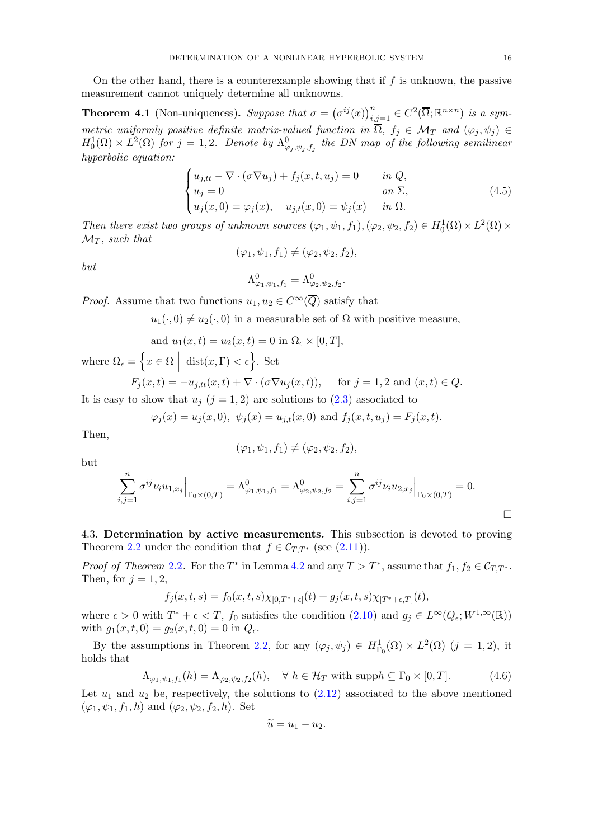On the other hand, there is a counterexample showing that if  $f$  is unknown, the passive measurement cannot uniquely determine all unknowns.

**Theorem 4.1** (Non-uniqueness). Suppose that  $\sigma = (\sigma^{ij}(x))_{i,j=1}^n \in C^2(\overline{\Omega}; \mathbb{R}^{n \times n})$  is a symmetric uniformly positive definite matrix-valued function in  $\Omega$ ,  $f_j \in \mathcal{M}_T$  and  $(\varphi_j, \psi_j) \in$  $H_0^1(\Omega) \times L^2(\Omega)$  for  $j=1,2$ . Denote by  $\Lambda^0_{\varphi_j,\psi_j,f_j}$  the DN map of the following semilinear hyperbolic equation:

$$
\begin{cases}\n u_{j,tt} - \nabla \cdot (\sigma \nabla u_j) + f_j(x, t, u_j) = 0 & \text{in } Q, \\
 u_j = 0 & \text{on } \Sigma, \\
 u_j(x, 0) = \varphi_j(x), \quad u_{j,t}(x, 0) = \psi_j(x) & \text{in } \Omega.\n\end{cases}
$$
\n(4.5)

Then there exist two groups of unknown sources  $(\varphi_1, \psi_1, f_1), (\varphi_2, \psi_2, f_2) \in H_0^1(\Omega) \times L^2(\Omega) \times L^2(\Omega)$  $\mathcal{M}_T$ , such that

$$
(\varphi_1, \psi_1, f_1) \neq (\varphi_2, \psi_2, f_2),
$$

but

$$
\Lambda^0_{\varphi_1,\psi_1,f_1}=\Lambda^0_{\varphi_2,\psi_2,f_2}.
$$

*Proof.* Assume that two functions  $u_1, u_2 \in C^{\infty}(\overline{Q})$  satisfy that

 $u_1(\cdot, 0) \neq u_2(\cdot, 0)$  in a measurable set of  $\Omega$  with positive measure,

and 
$$
u_1(x,t) = u_2(x,t) = 0
$$
 in  $\Omega_{\epsilon} \times [0,T]$ ,  

$$
\int_{\Omega} \sigma \sigma \left[ \det(\sigma, \nabla) \cdot \sigma \right] \, d\sigma
$$

where 
$$
\Omega_{\epsilon} = \left\{ x \in \Omega \mid \text{dist}(x, \Gamma) < \epsilon \right\}
$$
. Set  
\n
$$
F_j(x, t) = -u_{j,tt}(x, t) + \nabla \cdot (\sigma \nabla u_j(x, t)), \quad \text{for } j = 1, 2 \text{ and } (x, t) \in Q.
$$

It is easy to show that  $u_j$  ( $j = 1, 2$ ) are solutions to [\(2.3\)](#page-3-1) associated to

$$
\varphi_j(x) = u_j(x,0), \ \psi_j(x) = u_{j,t}(x,0) \text{ and } f_j(x,t,u_j) = F_j(x,t).
$$

Then,

$$
(\varphi_1, \psi_1, f_1) \neq (\varphi_2, \psi_2, f_2),
$$

but

$$
\sum_{i,j=1}^n \sigma^{ij} \nu_i u_{1,x_j}\Big|_{\Gamma_0 \times (0,T)} = \Lambda^0_{\varphi_1,\psi_1,f_1} = \Lambda^0_{\varphi_2,\psi_2,f_2} = \sum_{i,j=1}^n \sigma^{ij} \nu_i u_{2,x_j}\Big|_{\Gamma_0 \times (0,T)} = 0.
$$

<span id="page-15-0"></span>4.3. Determination by active measurements. This subsection is devoted to proving Theorem [2.2](#page-4-3) under the condition that  $f \in \mathcal{C}_{TT^*}$  (see [\(2.11\)](#page-4-4)).

*Proof of Theorem [2](#page-4-3).2.* For the  $T^*$  in Lemma [4](#page-13-5).2 and any  $T > T^*$ , assume that  $f_1, f_2 \in C_{T,T^*}$ . Then, for  $j = 1, 2$ ,

$$
f_j(x,t,s) = f_0(x,t,s)\chi_{[0,T^*+\epsilon]}(t) + g_j(x,t,s)\chi_{[T^*+\epsilon,T]}(t),
$$

where  $\epsilon > 0$  with  $T^* + \epsilon < T$ ,  $f_0$  satisfies the condition  $(2.10)$  and  $g_j \in L^{\infty}(Q_{\epsilon}; W^{1,\infty}(\mathbb{R}))$ with  $g_1(x, t, 0) = g_2(x, t, 0) = 0$  in  $Q_{\epsilon}$ .

By the assumptions in Theorem 2.[2,](#page-4-3) for any  $(\varphi_j, \psi_j) \in H^1_{\Gamma_0}(\Omega) \times L^2(\Omega)$   $(j = 1, 2)$ , it holds that

$$
\Lambda_{\varphi_1,\psi_1,f_1}(h) = \Lambda_{\varphi_2,\psi_2,f_2}(h), \quad \forall \ h \in \mathcal{H}_T \text{ with } \text{supp} h \subseteq \Gamma_0 \times [0,T]. \tag{4.6}
$$

Let  $u_1$  and  $u_2$  be, respectively, the solutions to  $(2.12)$  associated to the above mentioned  $(\varphi_1, \psi_1, f_1, h)$  and  $(\varphi_2, \psi_2, f_2, h)$ . Set

$$
\widetilde{u}=u_1-u_2.
$$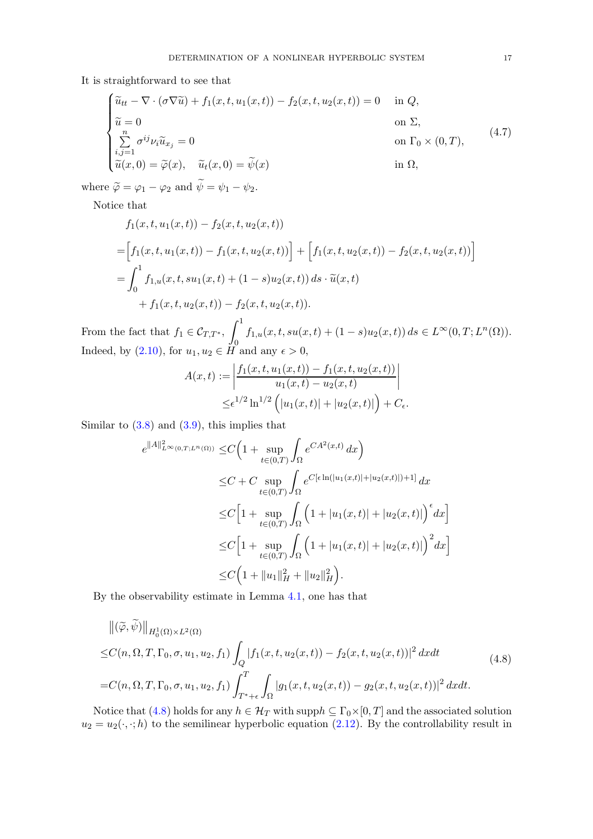It is straightforward to see that

$$
\begin{cases}\n\widetilde{u}_{tt} - \nabla \cdot (\sigma \nabla \widetilde{u}) + f_1(x, t, u_1(x, t)) - f_2(x, t, u_2(x, t)) = 0 & \text{in } Q, \\
\widetilde{u} = 0 & \text{on } \Sigma, \\
\sum_{i,j=1}^n \sigma^{ij} \nu_i \widetilde{u}_{x_j} = 0 & \text{on } \Gamma_0 \times (0, T), \\
\widetilde{u}(x, 0) = \widetilde{\varphi}(x), \quad \widetilde{u}_t(x, 0) = \widetilde{\psi}(x) & \text{in } \Omega,\n\end{cases}
$$
\n(4.7)

where  $\widetilde{\varphi} = \varphi_1 - \varphi_2$  and  $\widetilde{\psi} = \psi_1 - \psi_2$ .

Notice that

$$
f_1(x, t, u_1(x, t)) - f_2(x, t, u_2(x, t))
$$
  
= 
$$
\Big[ f_1(x, t, u_1(x, t)) - f_1(x, t, u_2(x, t)) \Big] + \Big[ f_1(x, t, u_2(x, t)) - f_2(x, t, u_2(x, t)) \Big]
$$
  
= 
$$
\int_0^1 f_{1,u}(x, t, su_1(x, t) + (1 - s)u_2(x, t)) ds \cdot \tilde{u}(x, t)
$$
  
+ 
$$
f_1(x, t, u_2(x, t)) - f_2(x, t, u_2(x, t)).
$$

From the fact that  $f_1 \in \mathcal{C}_{T,T^*}$ ,  $\int_1^1$  $\overline{0}$  $f_{1,u}(x,t,su(x,t) + (1-s)u_2(x,t)) ds \in L^{\infty}(0,T;L^n(\Omega)).$ Indeed, by  $(2.10)$ , for  $u_1, u_2 \in H$  and any  $\epsilon > 0$ ,

$$
A(x,t) := \left| \frac{f_1(x,t, u_1(x,t)) - f_1(x,t, u_2(x,t))}{u_1(x,t) - u_2(x,t)} \right|
$$
  

$$
\leq \epsilon^{1/2} \ln^{1/2} \left( |u_1(x,t)| + |u_2(x,t)| \right) + C_{\epsilon}.
$$

Similar to  $(3.8)$  and  $(3.9)$ , this implies that

$$
e^{\|A\|_{L^{\infty}(0,T;L^{n}(\Omega))}} \leq C \Big( 1 + \sup_{t \in (0,T)} \int_{\Omega} e^{CA^{2}(x,t)} dx \Big)
$$
  
\n
$$
\leq C + C \sup_{t \in (0,T)} \int_{\Omega} e^{C[\epsilon \ln(|u_{1}(x,t)|+|u_{2}(x,t)|)+1]} dx
$$
  
\n
$$
\leq C \Big[ 1 + \sup_{t \in (0,T)} \int_{\Omega} \Big( 1 + |u_{1}(x,t)| + |u_{2}(x,t)| \Big)^{\epsilon} dx \Big]
$$
  
\n
$$
\leq C \Big[ 1 + \sup_{t \in (0,T)} \int_{\Omega} \Big( 1 + |u_{1}(x,t)| + |u_{2}(x,t)| \Big)^{2} dx \Big]
$$
  
\n
$$
\leq C \Big[ 1 + \|u_{1}\|_{H}^{2} + \|u_{2}\|_{H}^{2} \Big).
$$

By the observability estimate in Lemma [4.1,](#page-13-4) one has that

<span id="page-16-0"></span>
$$
\|(\tilde{\varphi}, \tilde{\psi})\|_{H_0^1(\Omega) \times L^2(\Omega)}
$$
  
\n
$$
\leq C(n, \Omega, T, \Gamma_0, \sigma, u_1, u_2, f_1) \int_Q |f_1(x, t, u_2(x, t)) - f_2(x, t, u_2(x, t))|^2 dx dt
$$
  
\n
$$
= C(n, \Omega, T, \Gamma_0, \sigma, u_1, u_2, f_1) \int_{T^* + \epsilon}^T \int_{\Omega} |g_1(x, t, u_2(x, t)) - g_2(x, t, u_2(x, t))|^2 dx dt.
$$
\n(4.8)

Notice that [\(4.8\)](#page-16-0) holds for any  $h \in \mathcal{H}_T$  with supp $h \subseteq \Gamma_0 \times [0,T]$  and the associated solution  $u_2 = u_2(\cdot, \cdot; h)$  to the semilinear hyperbolic equation [\(2.12\)](#page-4-5). By the controllability result in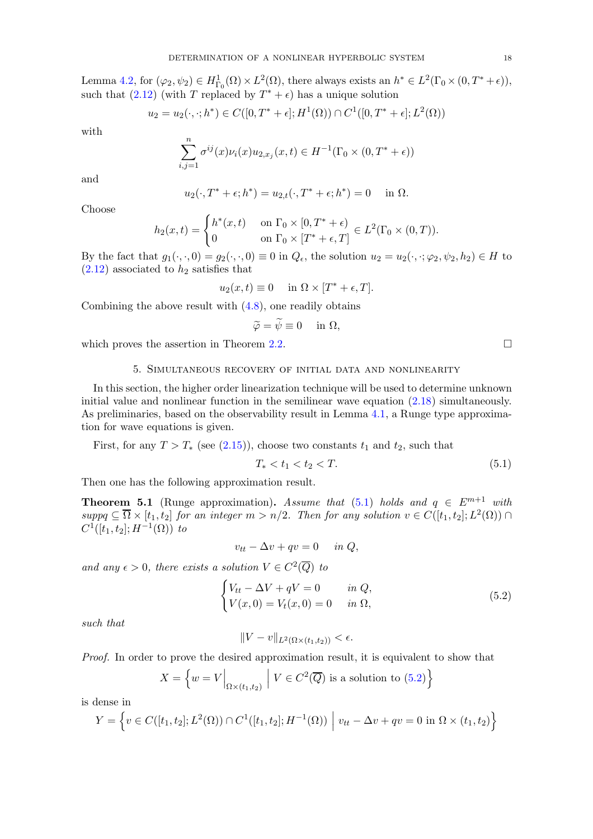Lemma [4.2,](#page-13-5) for  $(\varphi_2, \psi_2) \in H^1_{\Gamma_0}(\Omega) \times L^2(\Omega)$ , there always exists an  $h^* \in L^2(\Gamma_0 \times (0, T^* + \epsilon)),$ such that  $(2.12)$  (with T replaced by  $T^* + \epsilon$ ) has a unique solution

$$
u_2 = u_2(\cdot, \cdot; h^*) \in C([0, T^* + \epsilon]; H^1(\Omega)) \cap C^1([0, T^* + \epsilon]; L^2(\Omega))
$$

with

$$
\sum_{i,j=1}^{n} \sigma^{ij}(x) \nu_i(x) u_{2,x_j}(x,t) \in H^{-1}(\Gamma_0 \times (0,T^* + \epsilon))
$$

and

$$
u_2(\cdot, T^* + \epsilon; h^*) = u_{2,t}(\cdot, T^* + \epsilon; h^*) = 0 \quad \text{in } \Omega.
$$

Choose

$$
h_2(x,t) = \begin{cases} h^*(x,t) & \text{on } \Gamma_0 \times [0,T^* + \epsilon) \\ 0 & \text{on } \Gamma_0 \times [T^* + \epsilon, T] \end{cases} \in L^2(\Gamma_0 \times (0,T)).
$$

By the fact that  $g_1(\cdot, \cdot, 0) = g_2(\cdot, \cdot, 0) \equiv 0$  in  $Q_\epsilon$ , the solution  $u_2 = u_2(\cdot, \cdot; \varphi_2, \psi_2, h_2) \in H$  to  $(2.12)$  associated to  $h_2$  satisfies that

$$
u_2(x,t) \equiv 0 \quad \text{in } \Omega \times [T^* + \epsilon, T].
$$

Combining the above result with  $(4.8)$ , one readily obtains

$$
\widetilde{\varphi} = \widetilde{\psi} \equiv 0 \quad \text{ in } \Omega,
$$

<span id="page-17-0"></span>which proves the assertion in Theorem [2.](#page-4-3)2.  $\Box$ 

## 5. Simultaneous recovery of initial data and nonlinearity

In this section, the higher order linearization technique will be used to determine unknown initial value and nonlinear function in the semilinear wave equation [\(2.18\)](#page-5-1) simultaneously. As preliminaries, based on the observability result in Lemma [4.1,](#page-13-4) a Runge type approximation for wave equations is given.

First, for any  $T > T_*$  (see [\(2.15\)](#page-5-2)), choose two constants  $t_1$  and  $t_2$ , such that

<span id="page-17-1"></span>
$$
T_* < t_1 < t_2 < T. \tag{5.1}
$$

Then one has the following approximation result.

<span id="page-17-3"></span>**Theorem 5.1** (Runge approximation). Assume that [\(5.1\)](#page-17-1) holds and  $q \in E^{m+1}$  with  $suppq \subseteq \overline{\Omega} \times [t_1, t_2]$  for an integer  $m > n/2$ . Then for any solution  $v \in C([t_1, t_2]; L^2(\Omega)) \cap$  $C^1([t_1, t_2]; H^{-1}(\Omega))$  to

$$
v_{tt} - \Delta v + qv = 0 \quad in \ Q,
$$

and any  $\epsilon > 0$ , there exists a solution  $V \in C^2(\overline{Q})$  to

$$
\begin{cases}\nV_{tt} - \Delta V + qV = 0 & \text{in } Q, \\
V(x, 0) = V_t(x, 0) = 0 & \text{in } \Omega,\n\end{cases}
$$
\n(5.2)

such that

$$
||V - v||_{L^2(\Omega \times (t_1, t_2))} < \epsilon.
$$

Proof. In order to prove the desired approximation result, it is equivalent to show that

$$
X = \left\{ w = V \Big|_{\Omega \times (t_1, t_2)} \middle| V \in C^2(\overline{Q}) \text{ is a solution to (5.2)} \right\}
$$

is dense in

$$
Y = \left\{ v \in C([t_1, t_2]; L^2(\Omega)) \cap C^1([t_1, t_2]; H^{-1}(\Omega)) \middle| v_{tt} - \Delta v + qv = 0 \text{ in } \Omega \times (t_1, t_2) \right\}
$$

<span id="page-17-2"></span>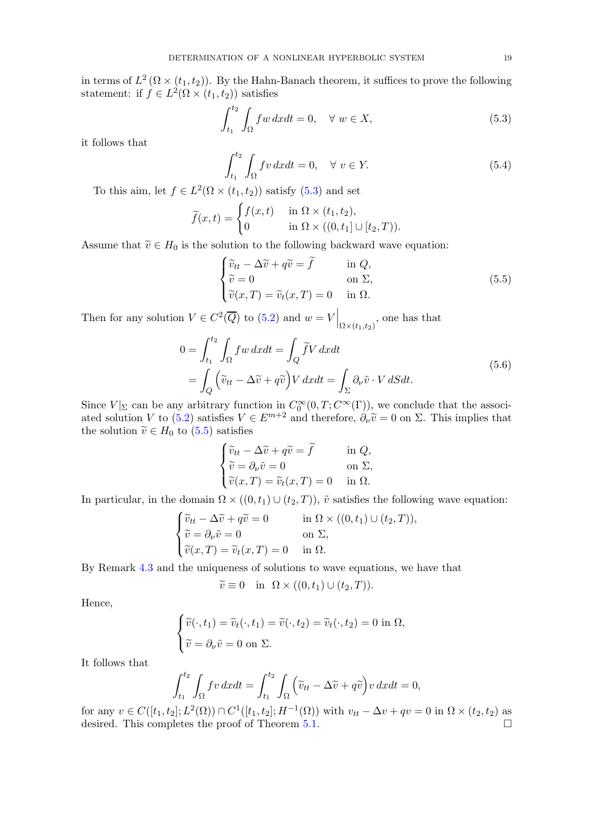in terms of  $L^2(\Omega \times (t_1, t_2))$ . By the Hahn-Banach theorem, it suffices to prove the following statement: if  $f \in L^2(\Omega \times (t_1, t_2))$  satisfies

$$
\int_{t_1}^{t_2} \int_{\Omega} f w \, dx dt = 0, \quad \forall \ w \in X,\tag{5.3}
$$

it follows that

<span id="page-18-0"></span>
$$
\int_{t_1}^{t_2} \int_{\Omega} fv \, dx dt = 0, \quad \forall \ v \in Y. \tag{5.4}
$$

To this aim, let  $f \in L^2(\Omega \times (t_1, t_2))$  satisfy [\(5.3\)](#page-18-0) and set

$$
\widetilde{f}(x,t) = \begin{cases} f(x,t) & \text{in } \Omega \times (t_1, t_2), \\ 0 & \text{in } \Omega \times ((0, t_1] \cup [t_2, T)). \end{cases}
$$

Assume that  $\tilde{v} \in H_0$  is the solution to the following backward wave equation:

<span id="page-18-1"></span>
$$
\begin{cases}\n\widetilde{v}_{tt} - \Delta \widetilde{v} + q \widetilde{v} = \widetilde{f} & \text{in } Q, \\
\widetilde{v} = 0 & \text{on } \Sigma, \\
\widetilde{v}(x, T) = \widetilde{v}_t(x, T) = 0 & \text{in } \Omega.\n\end{cases}
$$
\n(5.5)

Then for any solution  $V \in C^2(\overline{Q})$  to  $(5.2)$  and  $w = V \Big|_{\Omega \times (t_1, t_2)}$ , one has that

$$
0 = \int_{t_1}^{t_2} \int_{\Omega} f w \, dx dt = \int_{Q} \tilde{f} V \, dx dt
$$
  
= 
$$
\int_{Q} \left( \tilde{v}_{tt} - \Delta \tilde{v} + q \tilde{v} \right) V \, dx dt = \int_{\Sigma} \partial_{\nu} \tilde{v} \cdot V \, dS dt.
$$
 (5.6)

Since  $V|_{\Sigma}$  can be any arbitrary function in  $C_0^{\infty}(0,T;C^{\infty}(\Gamma))$ , we conclude that the associ-ated solution V to [\(5.2\)](#page-17-2) satisfies  $V \in E^{m+2}$  and therefore,  $\partial_{\nu}\tilde{v} = 0$  on  $\Sigma$ . This implies that the solution  $\tilde{v} \in H_0$  to  $(5.5)$  satisfies

$$
\begin{cases} \tilde{v}_{tt} - \Delta \tilde{v} + q\tilde{v} = \tilde{f} & \text{in } Q, \\ \tilde{v} = \partial_{\nu}\tilde{v} = 0 & \text{on } \Sigma, \\ \tilde{v}(x, T) = \tilde{v}_t(x, T) = 0 & \text{in } \Omega. \end{cases}
$$

In particular, in the domain  $\Omega \times ((0,t_1) \cup (t_2,T))$ ,  $\tilde{v}$  satisfies the following wave equation:

$$
\begin{cases} \widetilde{v}_{tt} - \Delta \widetilde{v} + q \widetilde{v} = 0 & \text{in } \Omega \times ((0, t_1) \cup (t_2, T)), \\ \widetilde{v} = \partial_{\nu} \widetilde{v} = 0 & \text{on } \Sigma, \\ \widetilde{v}(x, T) = \widetilde{v}_t(x, T) = 0 & \text{in } \Omega. \end{cases}
$$

By Remark [4.3](#page-14-3) and the uniqueness of solutions to wave equations, we have that

$$
\widetilde{v} \equiv 0 \quad \text{in} \quad \Omega \times ((0, t_1) \cup (t_2, T)).
$$

Hence,

$$
\begin{cases} \widetilde{v}(\cdot, t_1) = \widetilde{v}_t(\cdot, t_1) = \widetilde{v}(\cdot, t_2) = \widetilde{v}_t(\cdot, t_2) = 0 \text{ in } \Omega, \\ \widetilde{v} = \partial_\nu \widetilde{v} = 0 \text{ on } \Sigma. \end{cases}
$$

It follows that

$$
\int_{t_1}^{t_2} \int_{\Omega} fv \, dxdt = \int_{t_1}^{t_2} \int_{\Omega} \left( \widetilde{v}_{tt} - \Delta \widetilde{v} + q \widetilde{v} \right) v \, dxdt = 0,
$$

for any  $v \in C([t_1, t_2]; L^2(\Omega)) \cap C^1([t_1, t_2]; H^{-1}(\Omega))$  with  $v_{tt} - \Delta v + qv = 0$  in  $\Omega \times (t_2, t_2)$  as desired. This completes the proof of Theorem [5.1.](#page-17-3)  $\Box$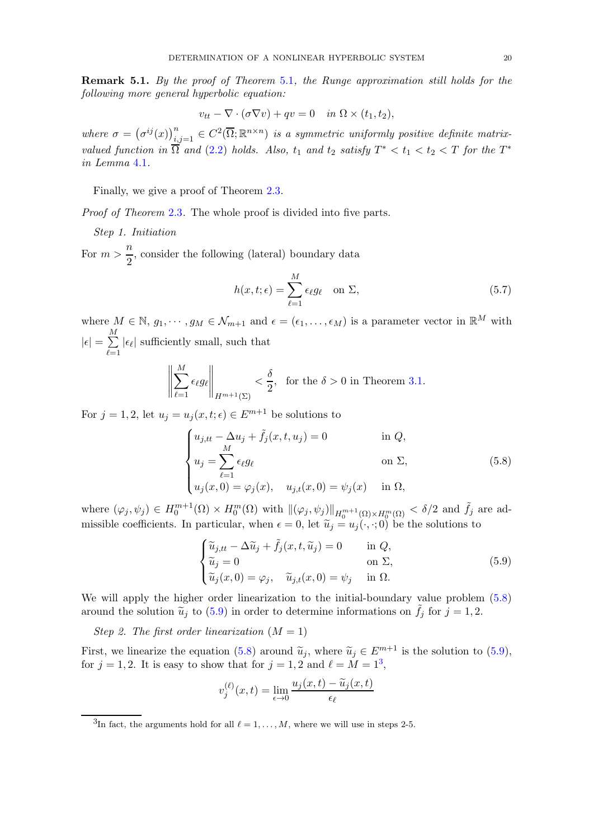Remark 5.1. By the proof of Theorem [5](#page-17-3).1, the Runge approximation still holds for the following more general hyperbolic equation:

$$
v_{tt} - \nabla \cdot (\sigma \nabla v) + qv = 0 \quad in \ \Omega \times (t_1, t_2),
$$

where  $\sigma = (\sigma^{ij}(x))_{i,j=1}^n \in C^2(\overline{\Omega}; \mathbb{R}^{n \times n})$  is a symmetric uniformly positive definite matrixvalued function in  $\overline{\Omega}$  and  $(2.2)$  $(2.2)$  holds. Also,  $t_1$  and  $t_2$  satisfy  $T^* < t_1 < t_2 < T$  for the  $T^*$ in Lemma [4](#page-13-4).1.

Finally, we give a proof of Theorem 2.[3.](#page-6-1)

Proof of Theorem [2](#page-6-1).3. The whole proof is divided into five parts.

Step 1. Initiation

For  $m > \frac{n}{2}$  $\frac{\pi}{2}$ , consider the following (lateral) boundary data

$$
h(x,t;\epsilon) = \sum_{\ell=1}^{M} \epsilon_{\ell} g_{\ell} \quad \text{on } \Sigma,
$$
\n(5.7)

where  $M \in \mathbb{N}$ ,  $g_1, \dots, g_M \in \mathcal{N}_{m+1}$  and  $\epsilon = (\epsilon_1, \dots, \epsilon_M)$  is a parameter vector in  $\mathbb{R}^M$  with  $|\epsilon| = \sum_{i=1}^{M}$  $_{\ell=1}$  $|\epsilon_{\ell}|$  sufficiently small, such that

$$
\left\|\sum_{\ell=1}^M \epsilon_\ell g_\ell\right\|_{H^{m+1}(\Sigma)} < \frac{\delta}{2}, \text{ for the } \delta > 0 \text{ in Theorem 3.1.}
$$

For  $j = 1, 2$ , let  $u_j = u_j(x, t; \epsilon) \in E^{m+1}$  be solutions to

$$
\begin{cases}\n u_{j,tt} - \Delta u_j + \tilde{f}_j(x, t, u_j) = 0 & \text{in } Q, \\
 u_j = \sum_{\ell=1}^M \epsilon_\ell g_\ell & \text{on } \Sigma, \\
 u_j(x, 0) = \varphi_j(x), \quad u_{j,t}(x, 0) = \psi_j(x) & \text{in } \Omega,\n\end{cases}
$$
\n(5.8)

where  $(\varphi_j, \psi_j) \in H_0^{m+1}(\Omega) \times H_0^m(\Omega)$  with  $\|(\varphi_j, \psi_j)\|_{H_0^{m+1}(\Omega) \times H_0^m(\Omega)} < \delta/2$  and  $\tilde{f}_j$  are admissible coefficients. In particular, when  $\epsilon = 0$ , let  $\tilde{u}_i = u_i(\cdot, \cdot; 0)$  be the solutions to

<span id="page-19-1"></span><span id="page-19-0"></span>
$$
\begin{cases}\n\widetilde{u}_{j,tt} - \Delta \widetilde{u}_j + \widetilde{f}_j(x, t, \widetilde{u}_j) = 0 & \text{in } Q, \\
\widetilde{u}_j = 0 & \text{on } \Sigma, \\
\widetilde{u}_j(x, 0) = \varphi_j, \quad \widetilde{u}_{j,t}(x, 0) = \psi_j & \text{in } \Omega.\n\end{cases}
$$
\n(5.9)

We will apply the higher order linearization to the initial-boundary value problem [\(5.8\)](#page-19-0) around the solution  $\tilde{u}_j$  to [\(5.9\)](#page-19-1) in order to determine informations on  $\tilde{f}_j$  for  $j = 1, 2$ .

Step 2. The first order linearization  $(M = 1)$ 

First, we linearize the equation [\(5.8\)](#page-19-0) around  $\tilde{u}_j$ , where  $\tilde{u}_j \in E^{m+1}$  is the solution to [\(5.9\)](#page-19-1), for  $j = 1, 2$ . It is easy to show that for  $j = 1, 2$  and  $\ell = M = 1^3$  $\ell = M = 1^3$ ,

$$
v_j^{(\ell)}(x,t) = \lim_{\epsilon \to 0} \frac{u_j(x,t) - \widetilde{u}_j(x,t)}{\epsilon_\ell}
$$

<span id="page-19-2"></span><sup>3</sup>In fact, the arguments hold for all  $\ell = 1, \ldots, M$ , where we will use in steps 2-5.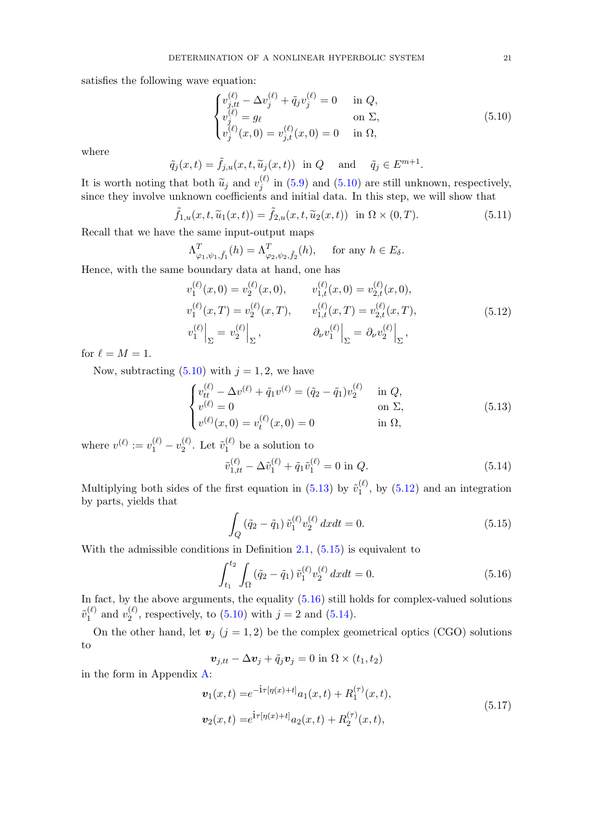satisfies the following wave equation:

<span id="page-20-0"></span>
$$
\begin{cases}\nv_{j,tt}^{(\ell)} - \Delta v_j^{(\ell)} + \tilde{q}_j v_j^{(\ell)} = 0 & \text{in } Q, \\
v_j^{(\ell)} = g_\ell & \text{on } \Sigma, \\
v_j^{(\ell)}(x,0) = v_{j,t}^{(\ell)}(x,0) = 0 & \text{in } \Omega,\n\end{cases}
$$
\n(5.10)

where

$$
\tilde{q}_j(x,t) = \tilde{f}_{j,u}(x,t,\tilde{u}_j(x,t)) \text{ in } Q \quad \text{and} \quad \tilde{q}_j \in E^{m+1}.
$$

It is worth noting that both  $\widetilde{u}_j$  and  $v_j^{(\ell)}$  $j_j^{(t)}$  in [\(5.9\)](#page-19-1) and [\(5.10\)](#page-20-0) are still unknown, respectively, since they involve unknown coefficients and initial data. In this step, we will show that

$$
\tilde{f}_{1,u}(x,t,\tilde{u}_1(x,t)) = \tilde{f}_{2,u}(x,t,\tilde{u}_2(x,t)) \quad \text{in } \Omega \times (0,T). \tag{5.11}
$$

Recall that we have the same input-output maps

$$
\Lambda^T_{\varphi_1,\psi_1,\tilde{f}_1}(h) = \Lambda^T_{\varphi_2,\psi_2,\tilde{f}_2}(h), \quad \text{for any } h \in E_{\delta}.
$$

Hence, with the same boundary data at hand, one has

<span id="page-20-2"></span>
$$
v_1^{(\ell)}(x,0) = v_2^{(\ell)}(x,0), \qquad v_{1,t}^{(\ell)}(x,0) = v_{2,t}^{(\ell)}(x,0),
$$
  
\n
$$
v_1^{(\ell)}(x,T) = v_2^{(\ell)}(x,T), \qquad v_{1,t}^{(\ell)}(x,T) = v_{2,t}^{(\ell)}(x,T),
$$
  
\n
$$
v_1^{(\ell)}\Big|_{\Sigma} = v_2^{(\ell)}\Big|_{\Sigma}, \qquad \partial_{\nu}v_1^{(\ell)}\Big|_{\Sigma} = \partial_{\nu}v_2^{(\ell)}\Big|_{\Sigma},
$$
\n(5.12)

for  $\ell = M = 1$ .

Now, subtracting  $(5.10)$  with  $j = 1, 2$ , we have

$$
\begin{cases}\nv_{tt}^{(\ell)} - \Delta v^{(\ell)} + \tilde{q}_1 v^{(\ell)} = (\tilde{q}_2 - \tilde{q}_1) v_2^{(\ell)} & \text{in } Q, \\
v^{(\ell)} = 0 & \text{on } \Sigma, \\
v^{(\ell)}(x, 0) = v_t^{(\ell)}(x, 0) = 0 & \text{in } \Omega,\n\end{cases}
$$
\n(5.13)

where  $v^{(\ell)} := v_1^{(\ell)} - v_2^{(\ell)}$  $\widetilde{v}_1^{(\ell)}$ . Let  $\widetilde{v}_1^{(\ell)}$  $i^{(t)}$  be a solution to

<span id="page-20-5"></span><span id="page-20-1"></span>
$$
\tilde{v}_{1,tt}^{(\ell)} - \Delta \tilde{v}_1^{(\ell)} + \tilde{q}_1 \tilde{v}_1^{(\ell)} = 0 \text{ in } Q. \tag{5.14}
$$

Multiplying both sides of the first equation in [\(5.13\)](#page-20-1) by  $\tilde{v}_1^{(\ell)}$  $1^{(0)}$ , by  $(5.12)$  and an integration by parts, yields that

<span id="page-20-4"></span><span id="page-20-3"></span>
$$
\int_{Q} (\tilde{q}_{2} - \tilde{q}_{1}) \tilde{v}_{1}^{(\ell)} v_{2}^{(\ell)} dx dt = 0.
$$
\n(5.15)

With the admissible conditions in Definition  $2.1$ ,  $(5.15)$  is equivalent to

$$
\int_{t_1}^{t_2} \int_{\Omega} \left( \tilde{q}_2 - \tilde{q}_1 \right) \tilde{v}_1^{(\ell)} v_2^{(\ell)} \, dx dt = 0. \tag{5.16}
$$

In fact, by the above arguments, the equality  $(5.16)$  still holds for complex-valued solutions  $\tilde{v}_1^{(\ell)}$  $y_1^{(\ell)}$  and  $v_2^{(\ell)}$  $2^{(c)}$ , respectively, to  $(5.10)$  with  $j = 2$  and  $(5.14)$ .

On the other hand, let  $v_j$  (j = 1, 2) be the complex geometrical optics (CGO) solutions to

<span id="page-20-6"></span>
$$
\boldsymbol{v}_{j,tt} - \Delta \boldsymbol{v}_j + \tilde{q}_j \boldsymbol{v}_j = 0 \text{ in } \Omega \times (t_1,t_2)
$$

in the form in Appendix [A:](#page-25-0)

$$
\mathbf{v}_1(x,t) = e^{-\mathbf{i}\tau[\eta(x)+t]} a_1(x,t) + R_1^{(\tau)}(x,t),
$$
  
\n
$$
\mathbf{v}_2(x,t) = e^{\mathbf{i}\tau[\eta(x)+t]} a_2(x,t) + R_2^{(\tau)}(x,t),
$$
\n(5.17)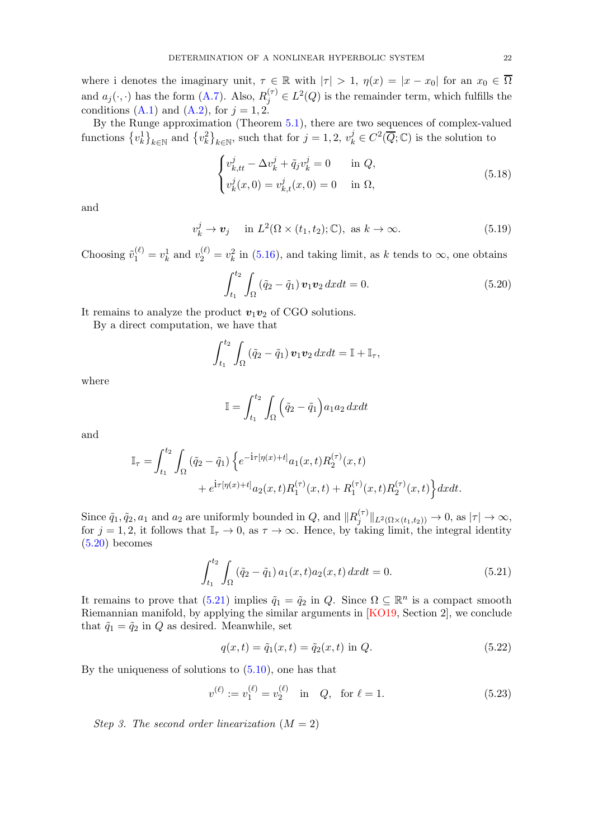where i denotes the imaginary unit,  $\tau \in \mathbb{R}$  with  $|\tau| > 1$ ,  $\eta(x) = |x - x_0|$  for an  $x_0 \in \overline{\Omega}$ and  $a_j(\cdot, \cdot)$  has the form  $(A.7)$ . Also,  $R_j^{(\tau)} \in L^2(Q)$  is the remainder term, which fulfills the conditions [\(A.1\)](#page-25-1) and [\(A.2\)](#page-25-2), for  $j = 1, 2$ .

By the Runge approximation (Theorem [5.1\)](#page-17-3), there are two sequences of complex-valued functions  $\{v_k^1\}_{k\in\mathbb{N}}$  and  $\{v_k^2\}_{k\in\mathbb{N}}$ , such that for  $j=1,2$ ,  $v_k^j\in C^2(\overline{Q};\mathbb{C})$  is the solution to

$$
\begin{cases}\nv_{k,tt}^j - \Delta v_k^j + \tilde{q}_j v_k^j = 0 & \text{in } Q, \\
v_k^j(x,0) = v_{k,t}^j(x,0) = 0 & \text{in } \Omega,\n\end{cases}
$$
\n(5.18)

and

$$
v_k^j \to \mathbf{v}_j \quad \text{ in } L^2(\Omega \times (t_1, t_2); \mathbb{C}), \text{ as } k \to \infty.
$$
 (5.19)

Choosing  $\tilde{v}_1^{(\ell)} = v_k^1$  and  $v_2^{(\ell)} = v_k^2$  in [\(5.16\)](#page-20-4), and taking limit, as k tends to  $\infty$ , one obtains

<span id="page-21-0"></span>
$$
\int_{t_1}^{t_2} \int_{\Omega} \left( \tilde{q}_2 - \tilde{q}_1 \right) \boldsymbol{v}_1 \boldsymbol{v}_2 \, dx dt = 0. \tag{5.20}
$$

It remains to analyze the product  $v_1v_2$  of CGO solutions.

By a direct computation, we have that

$$
\int_{t_1}^{t_2} \int_{\Omega} \left( \tilde{q}_2 - \tilde{q}_1 \right) \boldsymbol{v}_1 \boldsymbol{v}_2 \, dx dt = \mathbb{I} + \mathbb{I}_{\tau},
$$

where

$$
\mathbb{I} = \int_{t_1}^{t_2} \int_{\Omega} \left( \tilde{q}_2 - \tilde{q}_1 \right) a_1 a_2 \, dx dt
$$

and

$$
\mathbb{I}_{\tau} = \int_{t_1}^{t_2} \int_{\Omega} (\tilde{q}_2 - \tilde{q}_1) \left\{ e^{-i\tau[\eta(x) + t]} a_1(x, t) R_2^{(\tau)}(x, t) + e^{i\tau[\eta(x) + t]} a_2(x, t) R_1^{(\tau)}(x, t) + R_1^{(\tau)}(x, t) R_2^{(\tau)}(x, t) \right\} dx dt.
$$

Since  $\tilde{q}_1, \tilde{q}_2, a_1$  and  $a_2$  are uniformly bounded in  $Q$ , and  $||R_i^{(\tau)}||$  $\|f_j^{(\tau)}\|_{L^2(\Omega\times(t_1,t_2))}\to 0$ , as  $|\tau|\to\infty$ , for  $j = 1, 2$ , it follows that  $\mathbb{I}_{\tau} \to 0$ , as  $\tau \to \infty$ . Hence, by taking limit, the integral identity  $(5.20)$  becomes

$$
\int_{t_1}^{t_2} \int_{\Omega} \left( \tilde{q}_2 - \tilde{q}_1 \right) a_1(x, t) a_2(x, t) \, dx dt = 0. \tag{5.21}
$$

It remains to prove that  $(5.21)$  implies  $\tilde{q}_1 = \tilde{q}_2$  in  $Q$ . Since  $\Omega \subseteq \mathbb{R}^n$  is a compact smooth Riemannian manifold, by applying the similar arguments in [\[KO19,](#page-27-25) Section 2], we conclude that  $\tilde{q}_1 = \tilde{q}_2$  in Q as desired. Meanwhile, set

<span id="page-21-1"></span>
$$
q(x,t) = \tilde{q}_1(x,t) = \tilde{q}_2(x,t) \text{ in } Q. \tag{5.22}
$$

By the uniqueness of solutions to  $(5.10)$ , one has that

$$
v^{(\ell)} := v_1^{(\ell)} = v_2^{(\ell)} \quad \text{in} \quad Q, \quad \text{for } \ell = 1. \tag{5.23}
$$

Step 3. The second order linearization  $(M = 2)$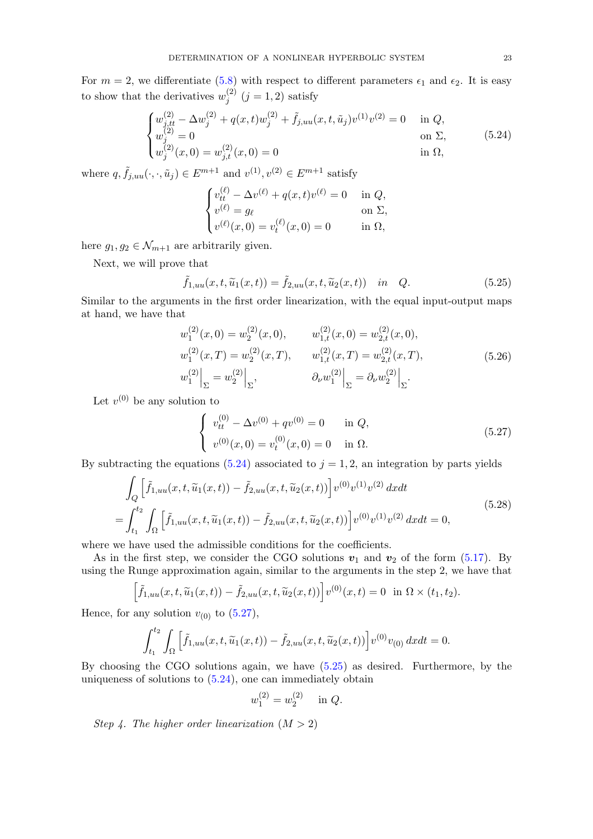For  $m = 2$ , we differentiate [\(5.8\)](#page-19-0) with respect to different parameters  $\epsilon_1$  and  $\epsilon_2$ . It is easy to show that the derivatives  $w_i^{(2)}$  $j^{(2)}$   $(j = 1, 2)$  satisfy

$$
\begin{cases}\nw_{j,tt}^{(2)} - \Delta w_j^{(2)} + q(x,t)w_j^{(2)} + \tilde{f}_{j,uu}(x,t,\tilde{u}_j)v^{(1)}v^{(2)} = 0 & \text{in } Q, \\
w_j^{(2)} = 0 & \text{on } \Sigma, \\
w_j^{(2)}(x,0) = w_{j,t}^{(2)}(x,0) = 0 & \text{in } \Omega,\n\end{cases}
$$
\n(5.24)

where  $q, \tilde{f}_{j,uu}(\cdot, \cdot, \tilde{u}_j) \in E^{m+1}$  and  $v^{(1)}, v^{(2)} \in E^{m+1}$  satisfy

<span id="page-22-2"></span><span id="page-22-0"></span>
$$
\begin{cases} v_{tt}^{(\ell)} - \Delta v^{(\ell)} + q(x, t)v^{(\ell)} = 0 & \text{in } Q, \\ v^{(\ell)} = g_{\ell} & \text{on } \Sigma, \\ v^{(\ell)}(x, 0) = v_{t}^{(\ell)}(x, 0) = 0 & \text{in } \Omega, \end{cases}
$$

here  $g_1, g_2 \in \mathcal{N}_{m+1}$  are arbitrarily given.

Next, we will prove that

$$
\tilde{f}_{1,uu}(x,t,\tilde{u}_1(x,t)) = \tilde{f}_{2,uu}(x,t,\tilde{u}_2(x,t)) \quad in \quad Q.
$$
\n
$$
(5.25)
$$

Similar to the arguments in the first order linearization, with the equal input-output maps at hand, we have that

$$
w_1^{(2)}(x,0) = w_2^{(2)}(x,0), \t w_{1,t}^{(2)}(x,0) = w_{2,t}^{(2)}(x,0),
$$
  
\n
$$
w_1^{(2)}(x,T) = w_2^{(2)}(x,T), \t w_{1,t}^{(2)}(x,T) = w_{2,t}^{(2)}(x,T),
$$
  
\n
$$
w_1^{(2)}\Big|_{\Sigma} = w_2^{(2)}\Big|_{\Sigma}, \t \partial_{\nu}w_1^{(2)}\Big|_{\Sigma} = \partial_{\nu}w_2^{(2)}\Big|_{\Sigma}.
$$
\n(5.26)

Let  $v^{(0)}$  be any solution to

<span id="page-22-1"></span>
$$
\begin{cases}\nv_{tt}^{(0)} - \Delta v^{(0)} + qv^{(0)} = 0 & \text{in } Q, \\
v^{(0)}(x, 0) = v_t^{(0)}(x, 0) = 0 & \text{in } \Omega.\n\end{cases}
$$
\n(5.27)

By subtracting the equations [\(5.24\)](#page-22-0) associated to  $j = 1, 2$ , an integration by parts yields

$$
\int_{Q} \left[ \tilde{f}_{1,uu}(x,t,\tilde{u}_{1}(x,t)) - \tilde{f}_{2,uu}(x,t,\tilde{u}_{2}(x,t)) \right] v^{(0)} v^{(1)} v^{(2)} dx dt
$$
\n
$$
= \int_{t_1}^{t_2} \int_{\Omega} \left[ \tilde{f}_{1,uu}(x,t,\tilde{u}_{1}(x,t)) - \tilde{f}_{2,uu}(x,t,\tilde{u}_{2}(x,t)) \right] v^{(0)} v^{(1)} v^{(2)} dx dt = 0,
$$
\n(5.28)

where we have used the admissible conditions for the coefficients.

As in the first step, we consider the CGO solutions  $v_1$  and  $v_2$  of the form [\(5.17\)](#page-20-6). By using the Runge approximation again, similar to the arguments in the step 2, we have that

$$
\left[\tilde{f}_{1,uu}(x,t,\widetilde{u}_1(x,t))-\tilde{f}_{2,uu}(x,t,\widetilde{u}_2(x,t))\right]v^{(0)}(x,t)=0 \ \ \text{in}\ \Omega\times(t_1,t_2).
$$

Hence, for any solution  $v_{(0)}$  to  $(5.27)$ ,

$$
\int_{t_1}^{t_2} \int_{\Omega} \left[ \tilde{f}_{1,uu}(x,t, \tilde{u}_1(x,t)) - \tilde{f}_{2,uu}(x,t, \tilde{u}_2(x,t)) \right] v^{(0)} v_{(0)} dx dt = 0.
$$

By choosing the CGO solutions again, we have [\(5.25\)](#page-22-2) as desired. Furthermore, by the uniqueness of solutions to  $(5.24)$ , one can immediately obtain

$$
w_1^{(2)} = w_2^{(2)} \quad \text{in } Q.
$$

Step 4. The higher order linearization  $(M > 2)$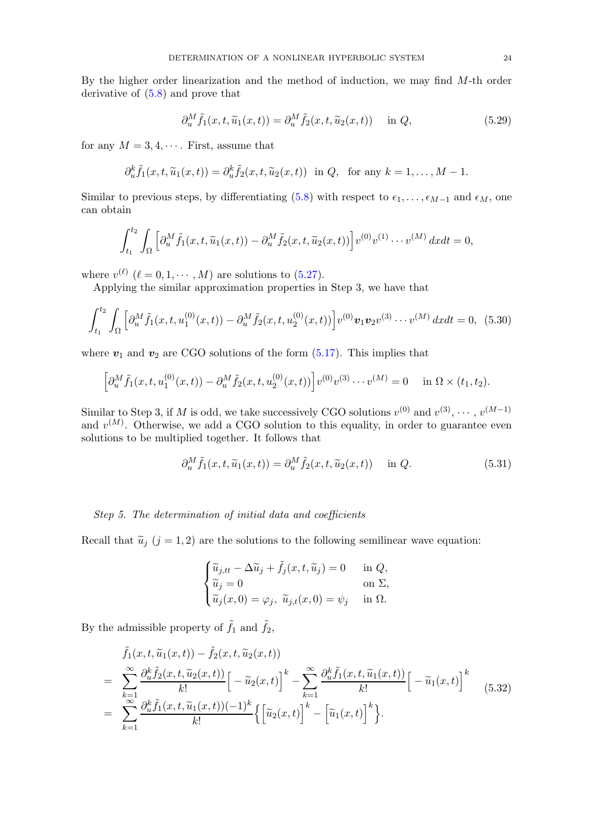By the higher order linearization and the method of induction, we may find  $M$ -th order derivative of [\(5.8\)](#page-19-0) and prove that

$$
\partial_u^M \tilde{f}_1(x, t, \tilde{u}_1(x, t)) = \partial_u^M \tilde{f}_2(x, t, \tilde{u}_2(x, t)) \quad \text{in } Q,
$$
\n(5.29)

for any  $M = 3, 4, \cdots$ . First, assume that

$$
\partial_u^k \tilde{f}_1(x,t,\tilde{u}_1(x,t)) = \partial_u^k \tilde{f}_2(x,t,\tilde{u}_2(x,t)) \text{ in } Q, \text{ for any } k = 1,\ldots,M-1.
$$

Similar to previous steps, by differentiating [\(5.8\)](#page-19-0) with respect to  $\epsilon_1, \ldots, \epsilon_{M-1}$  and  $\epsilon_M$ , one can obtain

$$
\int_{t_1}^{t_2} \int_{\Omega} \left[ \partial_u^M \tilde{f}_1(x, t, \widetilde{u}_1(x, t)) - \partial_u^M \tilde{f}_2(x, t, \widetilde{u}_2(x, t)) \right] v^{(0)} v^{(1)} \cdots v^{(M)} dx dt = 0,
$$

where  $v^{(\ell)}$   $(\ell = 0, 1, \cdots, M)$  are solutions to [\(5.27\)](#page-22-1).

Applying the similar approximation properties in Step 3, we have that

$$
\int_{t_1}^{t_2} \int_{\Omega} \left[ \partial_u^M \tilde{f}_1(x, t, u_1^{(0)}(x, t)) - \partial_u^M \tilde{f}_2(x, t, u_2^{(0)}(x, t)) \right] v^{(0)} \mathbf{v}_1 \mathbf{v}_2 v^{(3)} \cdots v^{(M)} dx dt = 0, \tag{5.30}
$$

where  $v_1$  and  $v_2$  are CGO solutions of the form  $(5.17)$ . This implies that

$$
\left[\partial_u^M \tilde{f}_1(x,t,u_1^{(0)}(x,t)) - \partial_u^M \tilde{f}_2(x,t,u_2^{(0)}(x,t))\right] v^{(0)} v^{(3)} \cdots v^{(M)} = 0 \quad \text{in } \Omega \times (t_1,t_2).
$$

Similar to Step 3, if M is odd, we take successively CGO solutions  $v^{(0)}$  and  $v^{(3)}, \cdots, v^{(M-1)}$ and  $v^{(M)}$ . Otherwise, we add a CGO solution to this equality, in order to guarantee even solutions to be multiplied together. It follows that

<span id="page-23-1"></span>
$$
\partial_u^M \tilde{f}_1(x, t, \tilde{u}_1(x, t)) = \partial_u^M \tilde{f}_2(x, t, \tilde{u}_2(x, t)) \quad \text{in } Q. \tag{5.31}
$$

# Step 5. The determination of initial data and coefficients

Recall that  $\tilde{u}_i$  (j = 1, 2) are the solutions to the following semilinear wave equation:

$$
\begin{cases} \widetilde{u}_{j,tt} - \Delta \widetilde{u}_j + \widetilde{f}_j(x, t, \widetilde{u}_j) = 0 & \text{in } Q, \\ \widetilde{u}_j = 0 & \text{on } \Sigma, \\ \widetilde{u}_j(x, 0) = \varphi_j, \ \widetilde{u}_{j,t}(x, 0) = \psi_j & \text{in } \Omega. \end{cases}
$$

By the admissible property of  $\tilde{f}_1$  and  $\tilde{f}_2$ ,

<span id="page-23-0"></span>
$$
\tilde{f}_1(x, t, \tilde{u}_1(x, t)) - \tilde{f}_2(x, t, \tilde{u}_2(x, t))
$$
\n
$$
= \sum_{k=1}^{\infty} \frac{\partial_{u}^k \tilde{f}_2(x, t, \tilde{u}_2(x, t))}{k!} \left[ -\tilde{u}_2(x, t) \right]^k - \sum_{k=1}^{\infty} \frac{\partial_{u}^k \tilde{f}_1(x, t, \tilde{u}_1(x, t))}{k!} \left[ -\tilde{u}_1(x, t) \right]^k
$$
\n
$$
= \sum_{k=1}^{\infty} \frac{\partial_{u}^k \tilde{f}_1(x, t, \tilde{u}_1(x, t)) (-1)^k}{k!} \left\{ \left[ \tilde{u}_2(x, t) \right]^k - \left[ \tilde{u}_1(x, t) \right]^k \right\}.
$$
\n(5.32)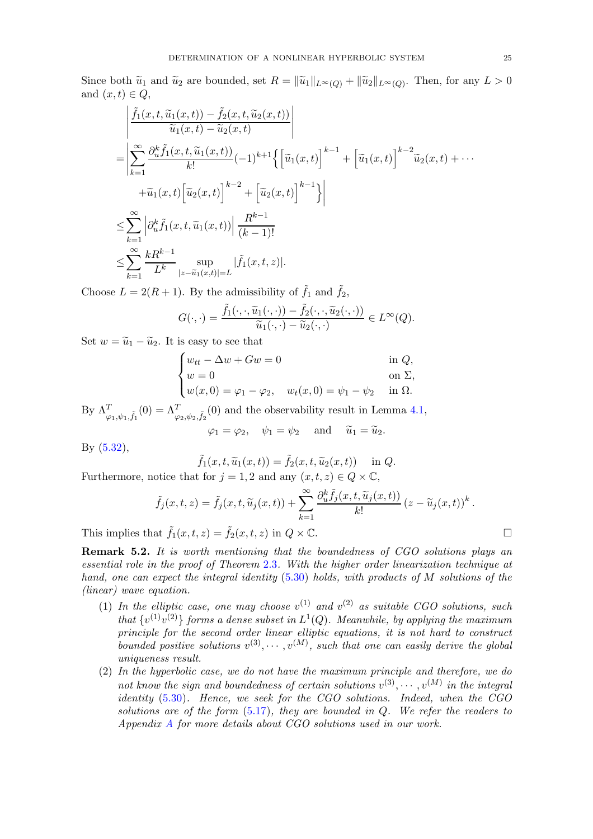Since both  $\widetilde{u}_1$  and  $\widetilde{u}_2$  are bounded, set  $R = \|\widetilde{u}_1\|_{L^\infty(Q)} + \|\widetilde{u}_2\|_{L^\infty(Q)}$ . Then, for any  $L > 0$ and  $(x, t) \in Q$ ,

$$
\begin{split}\n&\left| \frac{\tilde{f}_{1}(x,t,\tilde{u}_{1}(x,t)) - \tilde{f}_{2}(x,t,\tilde{u}_{2}(x,t))}{\tilde{u}_{1}(x,t) - \tilde{u}_{2}(x,t)} \right| \\
&= \left| \sum_{k=1}^{\infty} \frac{\partial_{u}^{k} \tilde{f}_{1}(x,t,\tilde{u}_{1}(x,t))}{k!} (-1)^{k+1} \left\{ \left[ \tilde{u}_{1}(x,t) \right]^{k-1} + \left[ \tilde{u}_{1}(x,t) \right]^{k-2} \tilde{u}_{2}(x,t) + \cdots \right. \\
&\left. + \tilde{u}_{1}(x,t) \left[ \tilde{u}_{2}(x,t) \right]^{k-2} + \left[ \tilde{u}_{2}(x,t) \right]^{k-1} \right\} \right| \\
&\leq \sum_{k=1}^{\infty} \left| \partial_{u}^{k} \tilde{f}_{1}(x,t,\tilde{u}_{1}(x,t)) \right| \frac{R^{k-1}}{(k-1)!} \\
&\leq \sum_{k=1}^{\infty} \frac{kR^{k-1}}{L^{k}} \sup_{|z-\tilde{u}_{1}(x,t)|=L} |\tilde{f}_{1}(x,t,z)|.\n\end{split}
$$

Choose  $L = 2(R + 1)$ . By the admissibility of  $\tilde{f}_1$  and  $\tilde{f}_2$ ,

$$
G(\cdot,\cdot)=\frac{\tilde{f}_1(\cdot,\cdot,\widetilde{u}_1(\cdot,\cdot))-\tilde{f}_2(\cdot,\cdot,\widetilde{u}_2(\cdot,\cdot))}{\widetilde{u}_1(\cdot,\cdot)-\widetilde{u}_2(\cdot,\cdot)}\in L^{\infty}(Q).
$$

Set  $w = \tilde{u}_1 - \tilde{u}_2$ . It is easy to see that

$$
\begin{cases}\nw_{tt} - \Delta w + Gw = 0 & \text{in } Q, \\
w = 0 & \text{on } \Sigma, \\
w(x, 0) = \varphi_1 - \varphi_2, & w_t(x, 0) = \psi_1 - \psi_2 & \text{in } \Omega.\n\end{cases}
$$

By  $\Lambda^T_{\varphi_1,\psi_1,\tilde{f}_1}(0) = \Lambda^T_{\varphi_2,\psi_2,\tilde{f}_2}(0)$  and the observability result in Lemma [4.1,](#page-13-4)

$$
\varphi_1 = \varphi_2, \quad \psi_1 = \psi_2 \quad \text{and} \quad \widetilde{u}_1 = \widetilde{u}_2.
$$

By [\(5.32\)](#page-23-0),

$$
\tilde{f}_1(x,t,\tilde{u}_1(x,t)) = \tilde{f}_2(x,t,\tilde{u}_2(x,t)) \quad \text{in } Q.
$$

Furthermore, notice that for  $j = 1, 2$  and any  $(x, t, z) \in Q \times \mathbb{C}$ ,

$$
\tilde{f}_j(x,t,z) = \tilde{f}_j(x,t,\tilde{u}_j(x,t)) + \sum_{k=1}^{\infty} \frac{\partial_u^k \tilde{f}_j(x,t,\tilde{u}_j(x,t))}{k!} (z - \tilde{u}_j(x,t))^k.
$$

This implies that  $\tilde{f}_1(x, t, z) = \tilde{f}_2(x, t, z)$  in  $Q \times \mathbb{C}$ .

Remark 5.2. It is worth mentioning that the boundedness of CGO solutions plays an essential role in the proof of Theorem [2](#page-6-1).3. With the higher order linearization technique at hand, one can expect the integral identity  $(5.30)$  holds, with products of M solutions of the (linear) wave equation.

- (1) In the elliptic case, one may choose  $v^{(1)}$  and  $v^{(2)}$  as suitable CGO solutions, such that  $\{v^{(1)}v^{(2)}\}$  forms a dense subset in  $L^1(Q)$ . Meanwhile, by applying the maximum principle for the second order linear elliptic equations, it is not hard to construct bounded positive solutions  $v^{(3)}, \cdots, v^{(M)}$ , such that one can easily derive the global uniqueness result.
- (2) In the hyperbolic case, we do not have the maximum principle and therefore, we do not know the sign and boundedness of certain solutions  $v^{(3)}, \cdots, v^{(M)}$  in the integral identity  $(5.30)$ . Hence, we seek for the CGO solutions. Indeed, when the CGO solutions are of the form  $(5.17)$ , they are bounded in Q. We refer the readers to Appendix [A](#page-25-0) for more details about CGO solutions used in our work.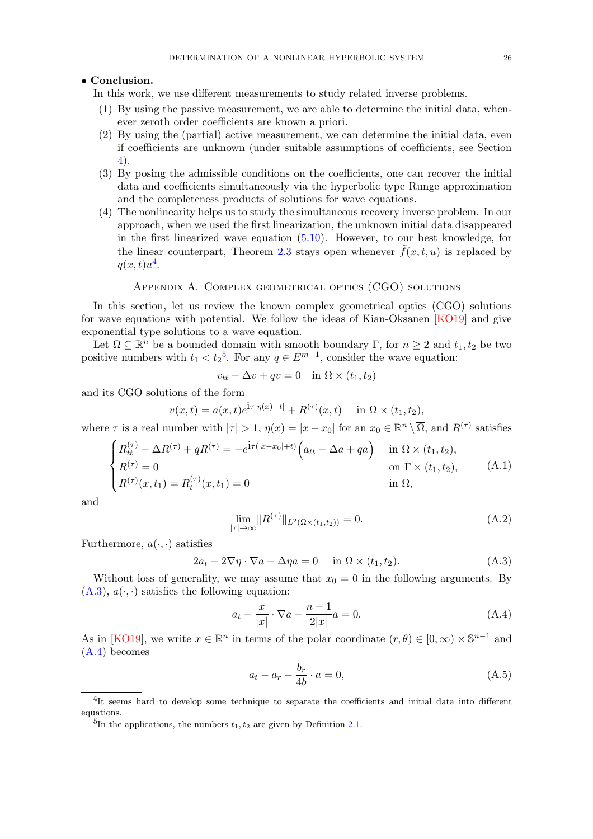## • Conclusion.

In this work, we use different measurements to study related inverse problems.

- (1) By using the passive measurement, we are able to determine the initial data, whenever zeroth order coefficients are known a priori.
- (2) By using the (partial) active measurement, we can determine the initial data, even if coefficients are unknown (under suitable assumptions of coefficients, see Section [4\)](#page-13-0).
- (3) By posing the admissible conditions on the coefficients, one can recover the initial data and coefficients simultaneously via the hyperbolic type Runge approximation and the completeness products of solutions for wave equations.
- (4) The nonlinearity helps us to study the simultaneous recovery inverse problem. In our approach, when we used the first linearization, the unknown initial data disappeared in the first linearized wave equation [\(5.10\)](#page-20-0). However, to our best knowledge, for the linear counterpart, Theorem [2.3](#page-6-1) stays open whenever  $f(x, t, u)$  is replaced by  $q(x,t)u^4$  $q(x,t)u^4$ .

#### Appendix A. Complex geometrical optics (CGO) solutions

<span id="page-25-0"></span>In this section, let us review the known complex geometrical optics (CGO) solutions for wave equations with potential. We follow the ideas of Kian-Oksanen [\[KO19\]](#page-27-25) and give exponential type solutions to a wave equation.

Let  $\Omega \subseteq \mathbb{R}^n$  be a bounded domain with smooth boundary  $\Gamma$ , for  $n \geq 2$  and  $t_1, t_2$  be two positive numbers with  $t_1 < t_2^5$  $t_1 < t_2^5$ . For any  $q \in E^{m+1}$ , consider the wave equation:

$$
v_{tt} - \Delta v + qv = 0 \quad \text{in } \Omega \times (t_1, t_2)
$$

and its CGO solutions of the form

$$
v(x,t) = a(x,t)e^{\mathbf{i}\tau[\eta(x)+t]} + R^{(\tau)}(x,t)
$$
 in  $\Omega \times (t_1, t_2)$ ,

where  $\tau$  is a real number with  $|\tau| > 1$ ,  $\eta(x) = |x - x_0|$  for an  $x_0 \in \mathbb{R}^n \setminus \overline{\Omega}$ , and  $R^{(\tau)}$  satisfies

$$
\begin{cases}\nR_{tt}^{(\tau)} - \Delta R^{(\tau)} + qR^{(\tau)} = -e^{i\tau(|x-x_0|+t)} \Big( a_{tt} - \Delta a + qa \Big) & \text{in } \Omega \times (t_1, t_2), \\
R^{(\tau)} = 0 & \text{on } \Gamma \times (t_1, t_2), \\
R^{(\tau)}(x, t_1) = R_t^{(\tau)}(x, t_1) = 0 & \text{in } \Omega,\n\end{cases}
$$
\n(A.1)

and

<span id="page-25-2"></span><span id="page-25-1"></span>
$$
\lim_{|\tau| \to \infty} \|R^{(\tau)}\|_{L^2(\Omega \times (t_1, t_2))} = 0.
$$
\n(A.2)

Furthermore,  $a(\cdot, \cdot)$  satisfies

$$
2a_t - 2\nabla \eta \cdot \nabla a - \Delta \eta a = 0 \quad \text{in } \Omega \times (t_1, t_2). \tag{A.3}
$$

Without loss of generality, we may assume that  $x_0 = 0$  in the following arguments. By  $(A.3), a(\cdot, \cdot)$  $(A.3), a(\cdot, \cdot)$  satisfies the following equation:

<span id="page-25-5"></span>
$$
a_t - \frac{x}{|x|} \cdot \nabla a - \frac{n-1}{2|x|} a = 0.
$$
 (A.4)

As in [\[KO19\]](#page-27-25), we write  $x \in \mathbb{R}^n$  in terms of the polar coordinate  $(r, \theta) \in [0, \infty) \times \mathbb{S}^{n-1}$  and [\(A.4\)](#page-25-6) becomes

<span id="page-25-7"></span><span id="page-25-6"></span>
$$
a_t - a_r - \frac{b_r}{4b} \cdot a = 0,\tag{A.5}
$$

<sup>&</sup>lt;sup>4</sup>It seems hard to develop some technique to separate the coefficients and initial data into different equations.

<span id="page-25-4"></span><span id="page-25-3"></span><sup>&</sup>lt;sup>5</sup>In the applications, the numbers  $t_1, t_2$  are given by Definition [2.1.](#page-5-0)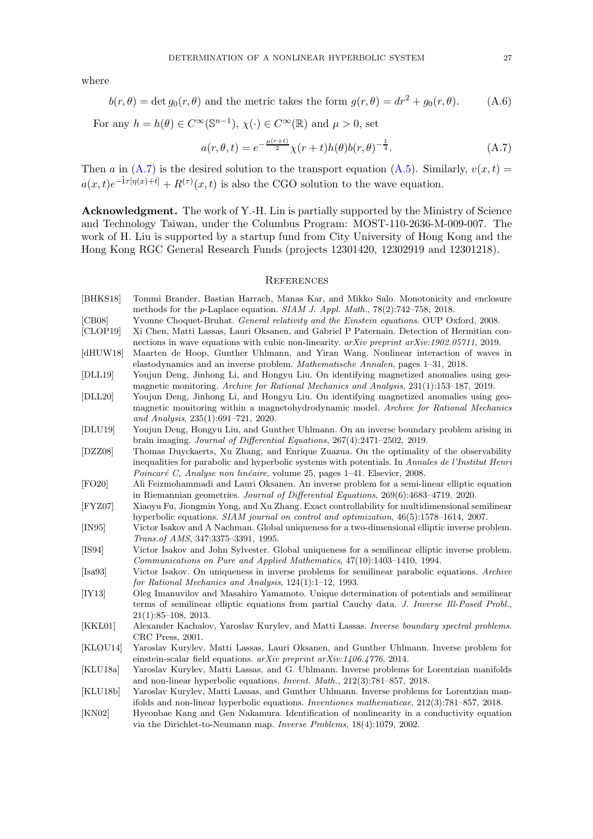where

$$
b(r, \theta) = \det g_0(r, \theta) \text{ and the metric takes the form } g(r, \theta) = dr^2 + g_0(r, \theta). \tag{A.6}
$$

For any  $h = h(\theta) \in C^{\infty}(\mathbb{S}^{n-1}), \chi(\cdot) \in C^{\infty}(\mathbb{R})$  and  $\mu > 0$ , set

$$
a(r, \theta, t) = e^{-\frac{\mu(r+t)}{2}} \chi(r+t)h(\theta)b(r, \theta)^{-\frac{1}{4}}.
$$
 (A.7)

Then a in  $(A.7)$  is the desired solution to the transport equation  $(A.5)$ . Similarly,  $v(x, t) =$  $a(x,t)e^{-\mathbf{i}\tau[\eta(x)+t]} + R^{(\tau)}(x,t)$  is also the CGO solution to the wave equation.

Acknowledgment. The work of Y.-H. Lin is partially supported by the Ministry of Science and Technology Taiwan, under the Columbus Program: MOST-110-2636-M-009-007. The work of H. Liu is supported by a startup fund from City University of Hong Kong and the Hong Kong RGC General Research Funds (projects 12301420, 12302919 and 12301218).

### <span id="page-26-20"></span><span id="page-26-0"></span>**REFERENCES**

- <span id="page-26-6"></span>[BHKS18] Tommi Brander, Bastian Harrach, Manas Kar, and Mikko Salo. Monotonicity and enclosure methods for the p-Laplace equation. SIAM J. Appl. Math., 78(2):742–758, 2018.
- <span id="page-26-16"></span>[CB08] Yvonne Choquet-Bruhat. General relativity and the Einstein equations. OUP Oxford, 2008.
- <span id="page-26-9"></span>[CLOP19] Xi Chen, Matti Lassas, Lauri Oksanen, and Gabriel P Paternain. Detection of Hermitian connections in wave equations with cubic non-linearity. arXiv preprint arXiv:1902.05711, 2019.
- <span id="page-26-10"></span>[dHUW18] Maarten de Hoop, Gunther Uhlmann, and Yiran Wang. Nonlinear interaction of waves in elastodynamics and an inverse problem. Mathematische Annalen, pages 1–31, 2018.
- <span id="page-26-13"></span>[DLL19] Youjun Deng, Jinhong Li, and Hongyu Liu. On identifying magnetized anomalies using geomagnetic monitoring. Archive for Rational Mechanics and Analysis, 231(1):153–187, 2019.
- <span id="page-26-14"></span>[DLL20] Youjun Deng, Jinhong Li, and Hongyu Liu. On identifying magnetized anomalies using geomagnetic monitoring within a magnetohydrodynamic model. Archive for Rational Mechanics and Analysis, 235(1):691–721, 2020.
- <span id="page-26-12"></span>[DLU19] Youjun Deng, Hongyu Liu, and Gunther Uhlmann. On an inverse boundary problem arising in brain imaging. Journal of Differential Equations, 267(4):2471–2502, 2019.
- <span id="page-26-15"></span>[DZZ08] Thomas Duyckaerts, Xu Zhang, and Enrique Zuazua. On the optimality of the observability inequalities for parabolic and hyperbolic systems with potentials. In Annales de l'Institut Henri Poincaré C, Analyse non linéaire, volume 25, pages 1–41. Elsevier, 2008.
- <span id="page-26-7"></span>[FO20] Ali Feizmohammadi and Lauri Oksanen. An inverse problem for a semi-linear elliptic equation in Riemannian geometries. Journal of Differential Equations, 269(6):4683–4719, 2020.
- <span id="page-26-19"></span>[FYZ07] Xiaoyu Fu, Jiongmin Yong, and Xu Zhang. Exact controllability for multidimensional semilinear hyperbolic equations. SIAM journal on control and optimization, 46(5):1578–1614, 2007.
- <span id="page-26-3"></span>[IN95] Victor Isakov and A Nachman. Global uniqueness for a two-dimensional elliptic inverse problem. Trans.of AMS, 347:3375–3391, 1995.
- <span id="page-26-2"></span>[IS94] Victor Isakov and John Sylvester. Global uniqueness for a semilinear elliptic inverse problem. Communications on Pure and Applied Mathematics, 47(10):1403–1410, 1994.
- <span id="page-26-1"></span>[Isa93] Victor Isakov. On uniqueness in inverse problems for semilinear parabolic equations. Archive for Rational Mechanics and Analysis, 124(1):1–12, 1993.
- <span id="page-26-4"></span>[IY13] Oleg Imanuvilov and Masahiro Yamamoto. Unique determination of potentials and semilinear terms of semilinear elliptic equations from partial Cauchy data. J. Inverse Ill-Posed Probl., 21(1):85–108, 2013.
- <span id="page-26-18"></span>[KKL01] Alexander Kachalov, Yaroslav Kurylev, and Matti Lassas. Inverse boundary spectral problems. CRC Press, 2001.
- <span id="page-26-11"></span>[KLOU14] Yaroslav Kurylev, Matti Lassas, Lauri Oksanen, and Gunther Uhlmann. Inverse problem for einstein-scalar field equations. arXiv preprint arXiv:1406.4776, 2014.
- <span id="page-26-17"></span>[KLU18a] Yaroslav Kurylev, Matti Lassas, and G. Uhlmann. Inverse problems for Lorentzian manifolds and non-linear hyperbolic equations. Invent. Math., 212(3):781–857, 2018.
- <span id="page-26-8"></span>[KLU18b] Yaroslav Kurylev, Matti Lassas, and Gunther Uhlmann. Inverse problems for Lorentzian manifolds and non-linear hyperbolic equations. Inventiones mathematicae, 212(3):781–857, 2018.
- <span id="page-26-5"></span>[KN02] Hyeonbae Kang and Gen Nakamura. Identification of nonlinearity in a conductivity equation via the Dirichlet-to-Neumann map. Inverse Problems, 18(4):1079, 2002.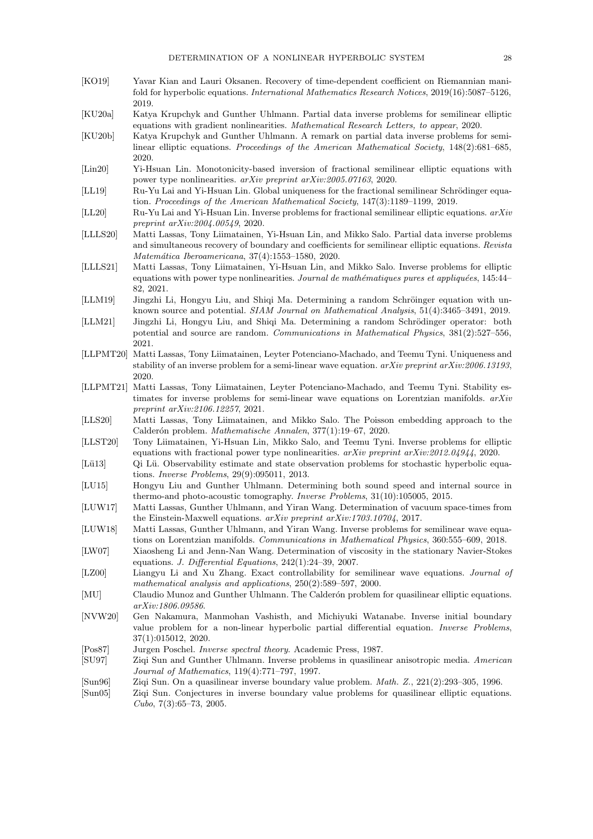- <span id="page-27-25"></span>[KO19] Yavar Kian and Lauri Oksanen. Recovery of time-dependent coefficient on Riemannian manifold for hyperbolic equations. International Mathematics Research Notices, 2019(16):5087–5126, 2019.
- <span id="page-27-10"></span>[KU20a] Katya Krupchyk and Gunther Uhlmann. Partial data inverse problems for semilinear elliptic equations with gradient nonlinearities. Mathematical Research Letters, to appear, 2020.
- <span id="page-27-9"></span>[KU20b] Katya Krupchyk and Gunther Uhlmann. A remark on partial data inverse problems for semilinear elliptic equations. Proceedings of the American Mathematical Society, 148(2):681–685, 2020.
- <span id="page-27-6"></span>[Lin20] Yi-Hsuan Lin. Monotonicity-based inversion of fractional semilinear elliptic equations with power type nonlinearities. arXiv preprint arXiv:2005.07163, 2020.
- <span id="page-27-4"></span>[LL19] Ru-Yu Lai and Yi-Hsuan Lin. Global uniqueness for the fractional semilinear Schrödinger equation. Proceedings of the American Mathematical Society, 147(3):1189–1199, 2019.
- <span id="page-27-5"></span>[LL20] Ru-Yu Lai and Yi-Hsuan Lin. Inverse problems for fractional semilinear elliptic equations. arXiv preprint arXiv:2004.00549, 2020.
- <span id="page-27-12"></span>[LLLS20] Matti Lassas, Tony Liimatainen, Yi-Hsuan Lin, and Mikko Salo. Partial data inverse problems and simultaneous recovery of boundary and coefficients for semilinear elliptic equations. Revista  $Matemática Iberoamericana, 37(4):1553-1580, 2020.$
- <span id="page-27-11"></span>[LLLS21] Matti Lassas, Tony Liimatainen, Yi-Hsuan Lin, and Mikko Salo. Inverse problems for elliptic equations with power type nonlinearities. Journal de mathématiques pures et appliquées, 145:44– 82, 2021.
- <span id="page-27-19"></span>[LLM19] Jingzhi Li, Hongyu Liu, and Shiqi Ma. Determining a random Schröinger equation with unknown source and potential. SIAM Journal on Mathematical Analysis, 51(4):3465–3491, 2019.
- <span id="page-27-20"></span>[LLM21] Jingzhi Li, Hongyu Liu, and Shiqi Ma. Determining a random Schrödinger operator: both potential and source are random. Communications in Mathematical Physics, 381(2):527–556, 2021.
- <span id="page-27-16"></span>[LLPMT20] Matti Lassas, Tony Liimatainen, Leyter Potenciano-Machado, and Teemu Tyni. Uniqueness and stability of an inverse problem for a semi-linear wave equation.  $arXiv$  preprint  $arXiv:2006.13193$ , 2020.
- <span id="page-27-17"></span>[LLPMT21] Matti Lassas, Tony Liimatainen, Leyter Potenciano-Machado, and Teemu Tyni. Stability estimates for inverse problems for semi-linear wave equations on Lorentzian manifolds.  $arXiv$ preprint arXiv:2106.12257, 2021.

<span id="page-27-7"></span>[LLS20] Matti Lassas, Tony Liimatainen, and Mikko Salo. The Poisson embedding approach to the Calderón problem. Mathematische Annalen, 377(1):19–67, 2020.

- <span id="page-27-13"></span>[LLST20] Tony Liimatainen, Yi-Hsuan Lin, Mikko Salo, and Teemu Tyni. Inverse problems for elliptic equations with fractional power type nonlinearities. arXiv preprint arXiv:2012.04944, 2020.
- <span id="page-27-24"></span>[Lü13] Qi Lü. Observability estimate and state observation problems for stochastic hyperbolic equations. Inverse Problems, 29(9):095011, 2013.
- <span id="page-27-18"></span>[LU15] Hongyu Liu and Gunther Uhlmann. Determining both sound speed and internal source in thermo-and photo-acoustic tomography. Inverse Problems, 31(10):105005, 2015.
- <span id="page-27-15"></span>[LUW17] Matti Lassas, Gunther Uhlmann, and Yiran Wang. Determination of vacuum space-times from the Einstein-Maxwell equations. arXiv preprint arXiv:1703.10704, 2017.
- <span id="page-27-14"></span>[LUW18] Matti Lassas, Gunther Uhlmann, and Yiran Wang. Inverse problems for semilinear wave equations on Lorentzian manifolds. Communications in Mathematical Physics, 360:555–609, 2018.
- <span id="page-27-2"></span>[LW07] Xiaosheng Li and Jenn-Nan Wang. Determination of viscosity in the stationary Navier-Stokes equations. J. Differential Equations, 242(1):24–39, 2007.
- <span id="page-27-23"></span>[LZ00] Liangyu Li and Xu Zhang. Exact controllability for semilinear wave equations. Journal of mathematical analysis and applications, 250(2):589–597, 2000.
- <span id="page-27-3"></span>[MU] Claudio Munoz and Gunther Uhlmann. The Calderón problem for quasilinear elliptic equations. arXiv:1806.09586.
- <span id="page-27-21"></span>[NVW20] Gen Nakamura, Manmohan Vashisth, and Michiyuki Watanabe. Inverse initial boundary value problem for a non-linear hyperbolic partial differential equation. Inverse Problems, 37(1):015012, 2020.
- <span id="page-27-22"></span>[Pos87] Jurgen Poschel. Inverse spectral theory. Academic Press, 1987.
- <span id="page-27-1"></span>[SU97] Ziqi Sun and Gunther Uhlmann. Inverse problems in quasilinear anisotropic media. American Journal of Mathematics, 119(4):771–797, 1997.
- <span id="page-27-0"></span>[Sun96] Ziqi Sun. On a quasilinear inverse boundary value problem. Math. Z., 221(2):293–305, 1996.
- <span id="page-27-8"></span>[Sun05] Ziqi Sun. Conjectures in inverse boundary value problems for quasilinear elliptic equations. Cubo, 7(3):65–73, 2005.